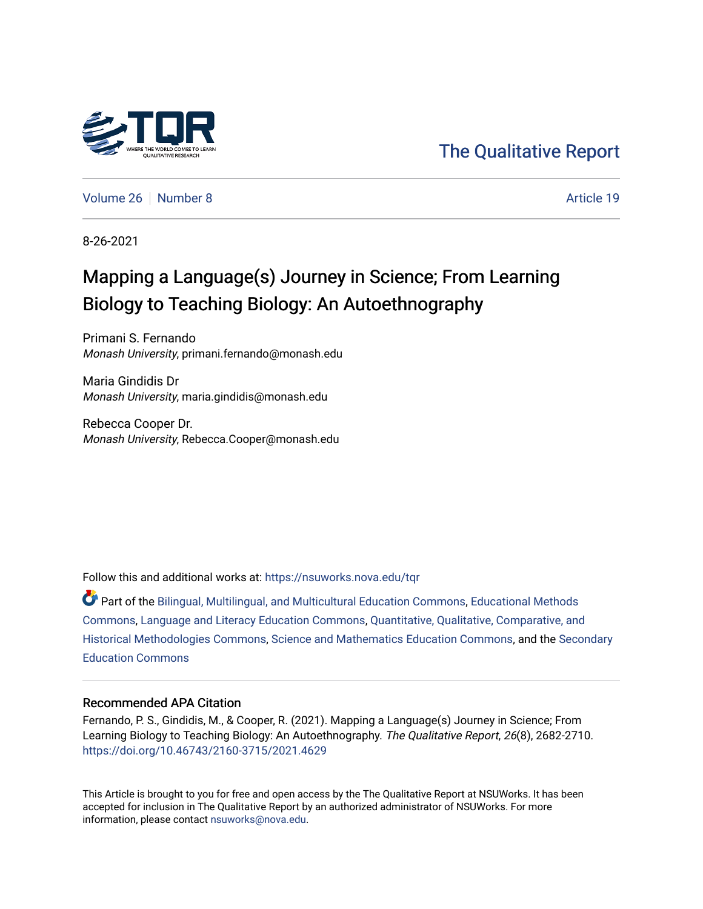

[The Qualitative Report](https://nsuworks.nova.edu/tqr) 

[Volume 26](https://nsuworks.nova.edu/tqr/vol26) [Number 8](https://nsuworks.nova.edu/tqr/vol26/iss8) Article 19

8-26-2021

## Mapping a Language(s) Journey in Science; From Learning Biology to Teaching Biology: An Autoethnography

Primani S. Fernando Monash University, primani.fernando@monash.edu

Maria Gindidis Dr Monash University, maria.gindidis@monash.edu

Rebecca Cooper Dr. Monash University, Rebecca.Cooper@monash.edu

Follow this and additional works at: [https://nsuworks.nova.edu/tqr](https://nsuworks.nova.edu/tqr?utm_source=nsuworks.nova.edu%2Ftqr%2Fvol26%2Fiss8%2F19&utm_medium=PDF&utm_campaign=PDFCoverPages) 

Part of the [Bilingual, Multilingual, and Multicultural Education Commons,](http://network.bepress.com/hgg/discipline/785?utm_source=nsuworks.nova.edu%2Ftqr%2Fvol26%2Fiss8%2F19&utm_medium=PDF&utm_campaign=PDFCoverPages) [Educational Methods](http://network.bepress.com/hgg/discipline/1227?utm_source=nsuworks.nova.edu%2Ftqr%2Fvol26%2Fiss8%2F19&utm_medium=PDF&utm_campaign=PDFCoverPages)  [Commons](http://network.bepress.com/hgg/discipline/1227?utm_source=nsuworks.nova.edu%2Ftqr%2Fvol26%2Fiss8%2F19&utm_medium=PDF&utm_campaign=PDFCoverPages), [Language and Literacy Education Commons](http://network.bepress.com/hgg/discipline/1380?utm_source=nsuworks.nova.edu%2Ftqr%2Fvol26%2Fiss8%2F19&utm_medium=PDF&utm_campaign=PDFCoverPages), [Quantitative, Qualitative, Comparative, and](http://network.bepress.com/hgg/discipline/423?utm_source=nsuworks.nova.edu%2Ftqr%2Fvol26%2Fiss8%2F19&utm_medium=PDF&utm_campaign=PDFCoverPages)  [Historical Methodologies Commons](http://network.bepress.com/hgg/discipline/423?utm_source=nsuworks.nova.edu%2Ftqr%2Fvol26%2Fiss8%2F19&utm_medium=PDF&utm_campaign=PDFCoverPages), [Science and Mathematics Education Commons,](http://network.bepress.com/hgg/discipline/800?utm_source=nsuworks.nova.edu%2Ftqr%2Fvol26%2Fiss8%2F19&utm_medium=PDF&utm_campaign=PDFCoverPages) and the [Secondary](http://network.bepress.com/hgg/discipline/1382?utm_source=nsuworks.nova.edu%2Ftqr%2Fvol26%2Fiss8%2F19&utm_medium=PDF&utm_campaign=PDFCoverPages)  [Education Commons](http://network.bepress.com/hgg/discipline/1382?utm_source=nsuworks.nova.edu%2Ftqr%2Fvol26%2Fiss8%2F19&utm_medium=PDF&utm_campaign=PDFCoverPages) 

### Recommended APA Citation

Fernando, P. S., Gindidis, M., & Cooper, R. (2021). Mapping a Language(s) Journey in Science; From Learning Biology to Teaching Biology: An Autoethnography. The Qualitative Report, 26(8), 2682-2710. <https://doi.org/10.46743/2160-3715/2021.4629>

This Article is brought to you for free and open access by the The Qualitative Report at NSUWorks. It has been accepted for inclusion in The Qualitative Report by an authorized administrator of NSUWorks. For more information, please contact [nsuworks@nova.edu.](mailto:nsuworks@nova.edu)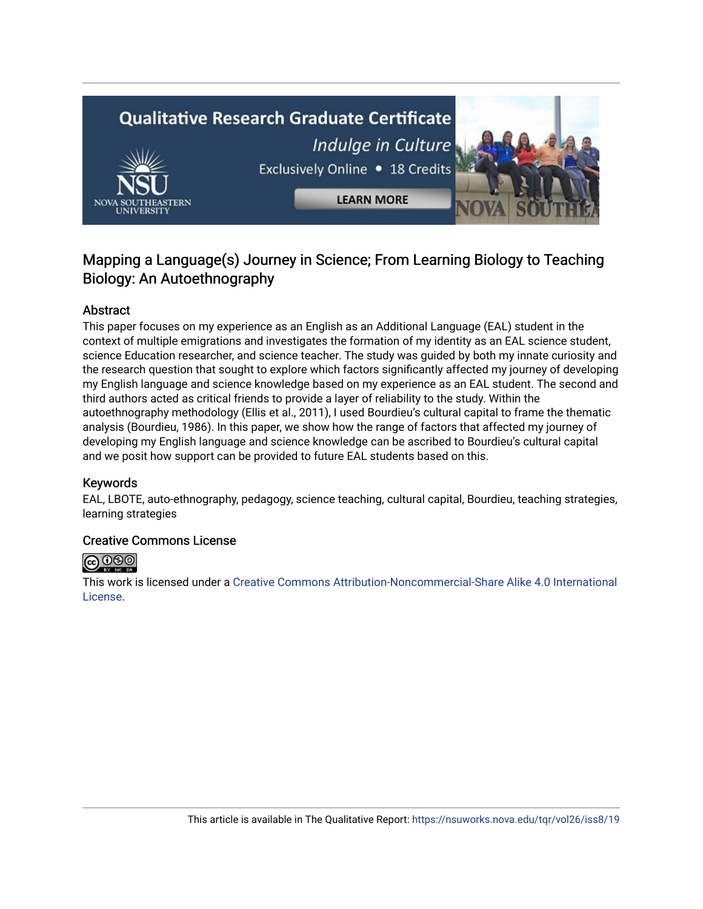# **Qualitative Research Graduate Certificate** Indulge in Culture Exclusively Online . 18 Credits **LEARN MORE**

### Mapping a Language(s) Journey in Science; From Learning Biology to Teaching Biology: An Autoethnography

### Abstract

This paper focuses on my experience as an English as an Additional Language (EAL) student in the context of multiple emigrations and investigates the formation of my identity as an EAL science student, science Education researcher, and science teacher. The study was guided by both my innate curiosity and the research question that sought to explore which factors significantly affected my journey of developing my English language and science knowledge based on my experience as an EAL student. The second and third authors acted as critical friends to provide a layer of reliability to the study. Within the autoethnography methodology (Ellis et al., 2011), I used Bourdieu's cultural capital to frame the thematic analysis (Bourdieu, 1986). In this paper, we show how the range of factors that affected my journey of developing my English language and science knowledge can be ascribed to Bourdieu's cultural capital and we posit how support can be provided to future EAL students based on this.

### Keywords

EAL, LBOTE, auto-ethnography, pedagogy, science teaching, cultural capital, Bourdieu, teaching strategies, learning strategies

### Creative Commons License



This work is licensed under a [Creative Commons Attribution-Noncommercial-Share Alike 4.0 International](https://creativecommons.org/licenses/by-nc-sa/4.0/)  [License](https://creativecommons.org/licenses/by-nc-sa/4.0/).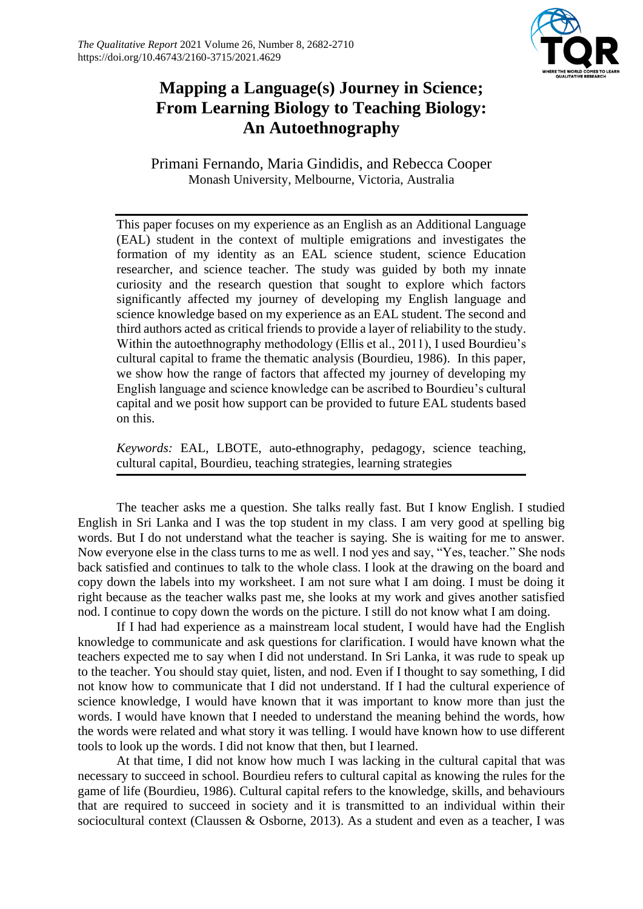

### **Mapping a Language(s) Journey in Science; From Learning Biology to Teaching Biology: An Autoethnography**

Primani Fernando, Maria Gindidis, and Rebecca Cooper Monash University, Melbourne, Victoria, Australia

This paper focuses on my experience as an English as an Additional Language (EAL) student in the context of multiple emigrations and investigates the formation of my identity as an EAL science student, science Education researcher, and science teacher. The study was guided by both my innate curiosity and the research question that sought to explore which factors significantly affected my journey of developing my English language and science knowledge based on my experience as an EAL student. The second and third authors acted as critical friends to provide a layer of reliability to the study. Within the autoethnography methodology (Ellis et al., 2011), I used Bourdieu's cultural capital to frame the thematic analysis (Bourdieu, 1986). In this paper, we show how the range of factors that affected my journey of developing my English language and science knowledge can be ascribed to Bourdieu's cultural capital and we posit how support can be provided to future EAL students based on this.

*Keywords:* EAL, LBOTE, auto-ethnography, pedagogy, science teaching, cultural capital, Bourdieu, teaching strategies, learning strategies

The teacher asks me a question. She talks really fast. But I know English. I studied English in Sri Lanka and I was the top student in my class. I am very good at spelling big words. But I do not understand what the teacher is saying. She is waiting for me to answer. Now everyone else in the class turns to me as well. I nod yes and say, "Yes, teacher." She nods back satisfied and continues to talk to the whole class. I look at the drawing on the board and copy down the labels into my worksheet. I am not sure what I am doing. I must be doing it right because as the teacher walks past me, she looks at my work and gives another satisfied nod. I continue to copy down the words on the picture. I still do not know what I am doing.

If I had had experience as a mainstream local student, I would have had the English knowledge to communicate and ask questions for clarification. I would have known what the teachers expected me to say when I did not understand. In Sri Lanka, it was rude to speak up to the teacher. You should stay quiet, listen, and nod. Even if I thought to say something, I did not know how to communicate that I did not understand. If I had the cultural experience of science knowledge, I would have known that it was important to know more than just the words. I would have known that I needed to understand the meaning behind the words, how the words were related and what story it was telling. I would have known how to use different tools to look up the words. I did not know that then, but I learned.

At that time, I did not know how much I was lacking in the cultural capital that was necessary to succeed in school. Bourdieu refers to cultural capital as knowing the rules for the game of life (Bourdieu, 1986). Cultural capital refers to the knowledge, skills, and behaviours that are required to succeed in society and it is transmitted to an individual within their sociocultural context (Claussen & Osborne, 2013). As a student and even as a teacher, I was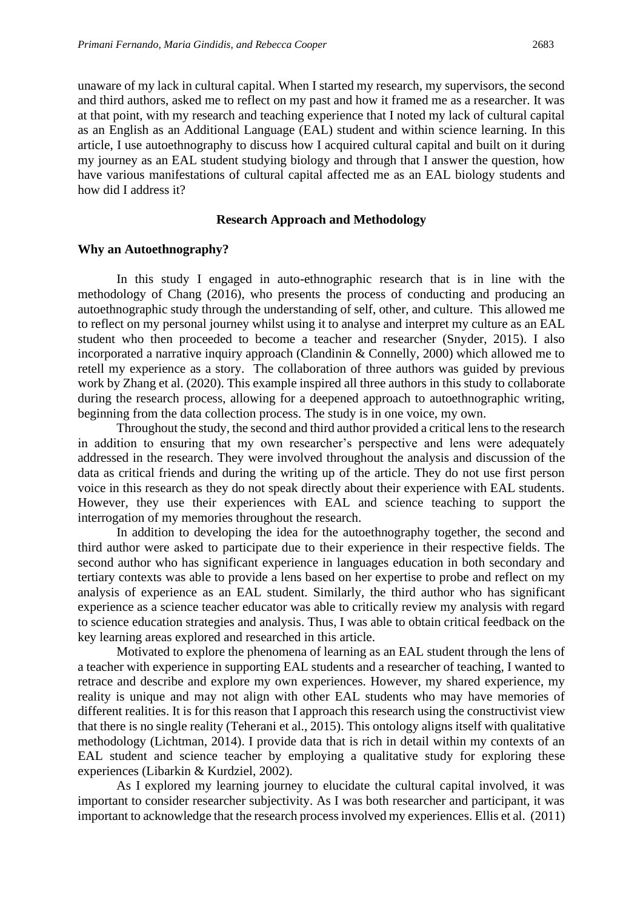unaware of my lack in cultural capital. When I started my research, my supervisors, the second and third authors, asked me to reflect on my past and how it framed me as a researcher. It was at that point, with my research and teaching experience that I noted my lack of cultural capital as an English as an Additional Language (EAL) student and within science learning. In this article, I use autoethnography to discuss how I acquired cultural capital and built on it during my journey as an EAL student studying biology and through that I answer the question, how have various manifestations of cultural capital affected me as an EAL biology students and how did I address it?

#### **Research Approach and Methodology**

### **Why an Autoethnography?**

In this study I engaged in auto-ethnographic research that is in line with the methodology of Chang (2016), who presents the process of conducting and producing an autoethnographic study through the understanding of self, other, and culture. This allowed me to reflect on my personal journey whilst using it to analyse and interpret my culture as an EAL student who then proceeded to become a teacher and researcher (Snyder, 2015). I also incorporated a narrative inquiry approach (Clandinin & Connelly, 2000) which allowed me to retell my experience as a story. The collaboration of three authors was guided by previous work by Zhang et al. (2020). This example inspired all three authors in this study to collaborate during the research process, allowing for a deepened approach to autoethnographic writing, beginning from the data collection process. The study is in one voice, my own.

Throughout the study, the second and third author provided a critical lens to the research in addition to ensuring that my own researcher's perspective and lens were adequately addressed in the research. They were involved throughout the analysis and discussion of the data as critical friends and during the writing up of the article. They do not use first person voice in this research as they do not speak directly about their experience with EAL students. However, they use their experiences with EAL and science teaching to support the interrogation of my memories throughout the research.

In addition to developing the idea for the autoethnography together, the second and third author were asked to participate due to their experience in their respective fields. The second author who has significant experience in languages education in both secondary and tertiary contexts was able to provide a lens based on her expertise to probe and reflect on my analysis of experience as an EAL student. Similarly, the third author who has significant experience as a science teacher educator was able to critically review my analysis with regard to science education strategies and analysis. Thus, I was able to obtain critical feedback on the key learning areas explored and researched in this article.

Motivated to explore the phenomena of learning as an EAL student through the lens of a teacher with experience in supporting EAL students and a researcher of teaching, I wanted to retrace and describe and explore my own experiences. However, my shared experience, my reality is unique and may not align with other EAL students who may have memories of different realities. It is for this reason that I approach this research using the constructivist view that there is no single reality (Teherani et al., 2015). This ontology aligns itself with qualitative methodology (Lichtman, 2014). I provide data that is rich in detail within my contexts of an EAL student and science teacher by employing a qualitative study for exploring these experiences (Libarkin & Kurdziel, 2002).

As I explored my learning journey to elucidate the cultural capital involved, it was important to consider researcher subjectivity. As I was both researcher and participant, it was important to acknowledge that the research process involved my experiences. Ellis et al. (2011)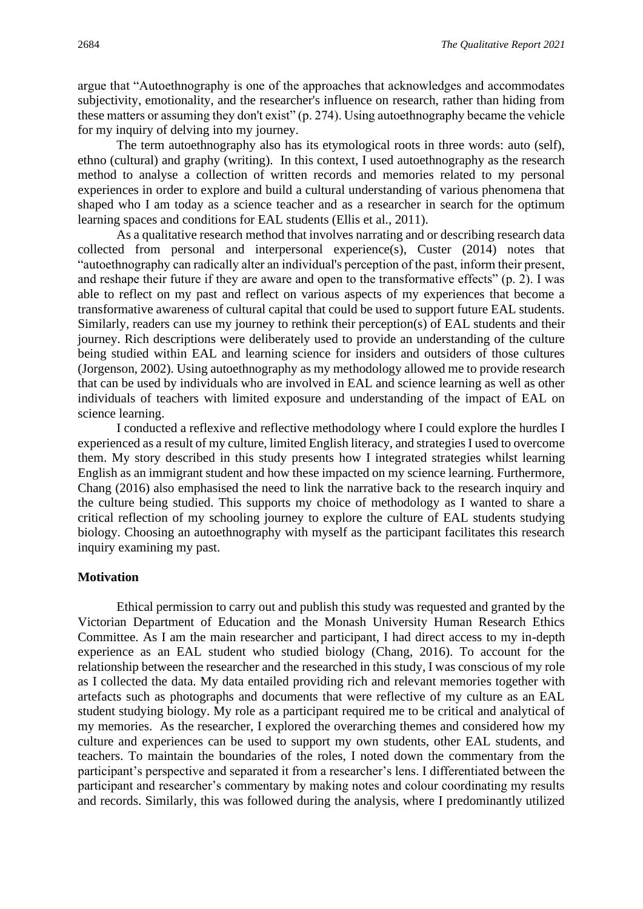argue that "Autoethnography is one of the approaches that acknowledges and accommodates subjectivity, emotionality, and the researcher's influence on research, rather than hiding from these matters or assuming they don't exist" (p. 274). Using autoethnography became the vehicle for my inquiry of delving into my journey.

The term autoethnography also has its etymological roots in three words: auto (self), ethno (cultural) and graphy (writing). In this context, I used autoethnography as the research method to analyse a collection of written records and memories related to my personal experiences in order to explore and build a cultural understanding of various phenomena that shaped who I am today as a science teacher and as a researcher in search for the optimum learning spaces and conditions for EAL students (Ellis et al., 2011).

As a qualitative research method that involves narrating and or describing research data collected from personal and interpersonal experience(s), Custer (2014) notes that "autoethnography can radically alter an individual's perception of the past, inform their present, and reshape their future if they are aware and open to the transformative effects" (p. 2). I was able to reflect on my past and reflect on various aspects of my experiences that become a transformative awareness of cultural capital that could be used to support future EAL students. Similarly, readers can use my journey to rethink their perception(s) of EAL students and their journey. Rich descriptions were deliberately used to provide an understanding of the culture being studied within EAL and learning science for insiders and outsiders of those cultures (Jorgenson, 2002). Using autoethnography as my methodology allowed me to provide research that can be used by individuals who are involved in EAL and science learning as well as other individuals of teachers with limited exposure and understanding of the impact of EAL on science learning.

I conducted a reflexive and reflective methodology where I could explore the hurdles I experienced as a result of my culture, limited English literacy, and strategies I used to overcome them. My story described in this study presents how I integrated strategies whilst learning English as an immigrant student and how these impacted on my science learning. Furthermore, Chang (2016) also emphasised the need to link the narrative back to the research inquiry and the culture being studied. This supports my choice of methodology as I wanted to share a critical reflection of my schooling journey to explore the culture of EAL students studying biology. Choosing an autoethnography with myself as the participant facilitates this research inquiry examining my past.

### **Motivation**

Ethical permission to carry out and publish this study was requested and granted by the Victorian Department of Education and the Monash University Human Research Ethics Committee. As I am the main researcher and participant, I had direct access to my in-depth experience as an EAL student who studied biology (Chang, 2016). To account for the relationship between the researcher and the researched in this study, I was conscious of my role as I collected the data. My data entailed providing rich and relevant memories together with artefacts such as photographs and documents that were reflective of my culture as an EAL student studying biology. My role as a participant required me to be critical and analytical of my memories. As the researcher, I explored the overarching themes and considered how my culture and experiences can be used to support my own students, other EAL students, and teachers. To maintain the boundaries of the roles, I noted down the commentary from the participant's perspective and separated it from a researcher's lens. I differentiated between the participant and researcher's commentary by making notes and colour coordinating my results and records. Similarly, this was followed during the analysis, where I predominantly utilized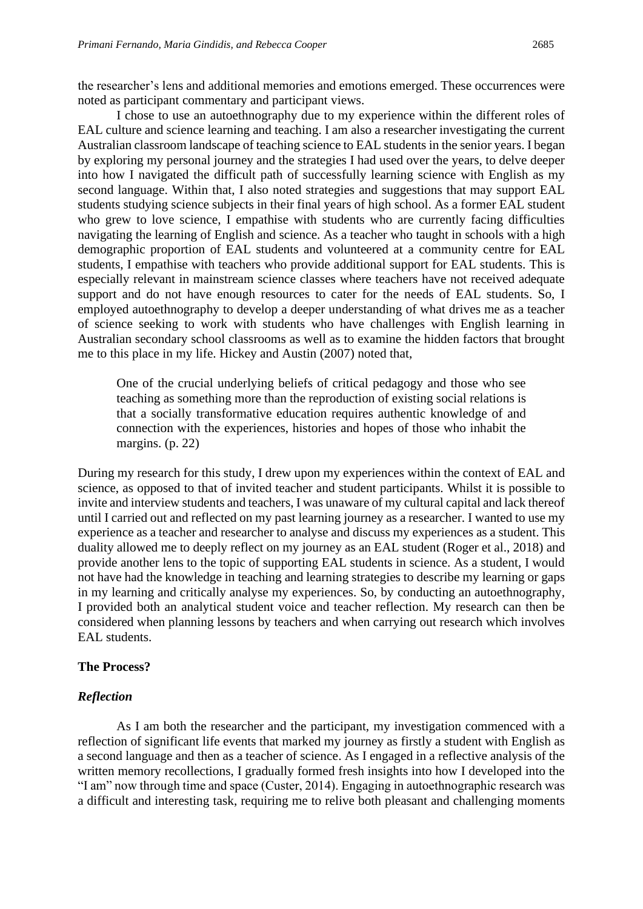the researcher's lens and additional memories and emotions emerged. These occurrences were noted as participant commentary and participant views.

I chose to use an autoethnography due to my experience within the different roles of EAL culture and science learning and teaching. I am also a researcher investigating the current Australian classroom landscape of teaching science to EAL students in the senior years. I began by exploring my personal journey and the strategies I had used over the years, to delve deeper into how I navigated the difficult path of successfully learning science with English as my second language. Within that, I also noted strategies and suggestions that may support EAL students studying science subjects in their final years of high school. As a former EAL student who grew to love science, I empathise with students who are currently facing difficulties navigating the learning of English and science. As a teacher who taught in schools with a high demographic proportion of EAL students and volunteered at a community centre for EAL students, I empathise with teachers who provide additional support for EAL students. This is especially relevant in mainstream science classes where teachers have not received adequate support and do not have enough resources to cater for the needs of EAL students. So, I employed autoethnography to develop a deeper understanding of what drives me as a teacher of science seeking to work with students who have challenges with English learning in Australian secondary school classrooms as well as to examine the hidden factors that brought me to this place in my life. Hickey and Austin (2007) noted that,

One of the crucial underlying beliefs of critical pedagogy and those who see teaching as something more than the reproduction of existing social relations is that a socially transformative education requires authentic knowledge of and connection with the experiences, histories and hopes of those who inhabit the margins. (p. 22)

During my research for this study, I drew upon my experiences within the context of EAL and science, as opposed to that of invited teacher and student participants. Whilst it is possible to invite and interview students and teachers, I was unaware of my cultural capital and lack thereof until I carried out and reflected on my past learning journey as a researcher. I wanted to use my experience as a teacher and researcher to analyse and discuss my experiences as a student. This duality allowed me to deeply reflect on my journey as an EAL student (Roger et al., 2018) and provide another lens to the topic of supporting EAL students in science. As a student, I would not have had the knowledge in teaching and learning strategies to describe my learning or gaps in my learning and critically analyse my experiences. So, by conducting an autoethnography, I provided both an analytical student voice and teacher reflection. My research can then be considered when planning lessons by teachers and when carrying out research which involves EAL students.

### **The Process?**

#### *Reflection*

As I am both the researcher and the participant, my investigation commenced with a reflection of significant life events that marked my journey as firstly a student with English as a second language and then as a teacher of science. As I engaged in a reflective analysis of the written memory recollections, I gradually formed fresh insights into how I developed into the "I am" now through time and space (Custer, 2014). Engaging in autoethnographic research was a difficult and interesting task, requiring me to relive both pleasant and challenging moments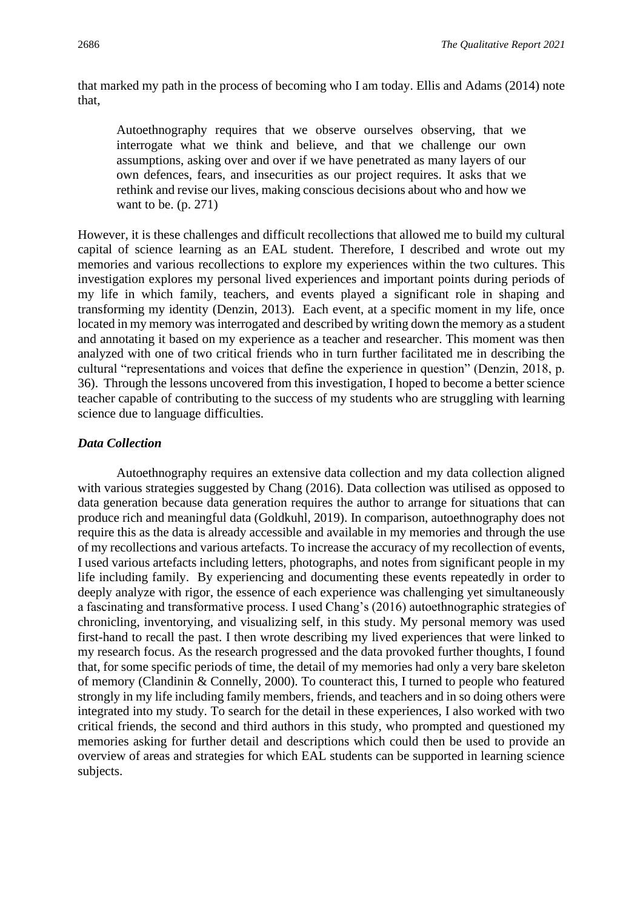that marked my path in the process of becoming who I am today. Ellis and Adams (2014) note that,

Autoethnography requires that we observe ourselves observing, that we interrogate what we think and believe, and that we challenge our own assumptions, asking over and over if we have penetrated as many layers of our own defences, fears, and insecurities as our project requires. It asks that we rethink and revise our lives, making conscious decisions about who and how we want to be. (p. 271)

However, it is these challenges and difficult recollections that allowed me to build my cultural capital of science learning as an EAL student. Therefore, I described and wrote out my memories and various recollections to explore my experiences within the two cultures. This investigation explores my personal lived experiences and important points during periods of my life in which family, teachers, and events played a significant role in shaping and transforming my identity (Denzin, 2013). Each event, at a specific moment in my life, once located in my memory was interrogated and described by writing down the memory as a student and annotating it based on my experience as a teacher and researcher. This moment was then analyzed with one of two critical friends who in turn further facilitated me in describing the cultural "representations and voices that define the experience in question" (Denzin, 2018, p. 36). Through the lessons uncovered from this investigation, I hoped to become a better science teacher capable of contributing to the success of my students who are struggling with learning science due to language difficulties.

### *Data Collection*

Autoethnography requires an extensive data collection and my data collection aligned with various strategies suggested by Chang (2016). Data collection was utilised as opposed to data generation because data generation requires the author to arrange for situations that can produce rich and meaningful data (Goldkuhl, 2019). In comparison, autoethnography does not require this as the data is already accessible and available in my memories and through the use of my recollections and various artefacts. To increase the accuracy of my recollection of events, I used various artefacts including letters, photographs, and notes from significant people in my life including family. By experiencing and documenting these events repeatedly in order to deeply analyze with rigor, the essence of each experience was challenging yet simultaneously a fascinating and transformative process. I used Chang's (2016) autoethnographic strategies of chronicling, inventorying, and visualizing self, in this study. My personal memory was used first-hand to recall the past. I then wrote describing my lived experiences that were linked to my research focus. As the research progressed and the data provoked further thoughts, I found that, for some specific periods of time, the detail of my memories had only a very bare skeleton of memory (Clandinin & Connelly, 2000). To counteract this, I turned to people who featured strongly in my life including family members, friends, and teachers and in so doing others were integrated into my study. To search for the detail in these experiences, I also worked with two critical friends, the second and third authors in this study, who prompted and questioned my memories asking for further detail and descriptions which could then be used to provide an overview of areas and strategies for which EAL students can be supported in learning science subjects.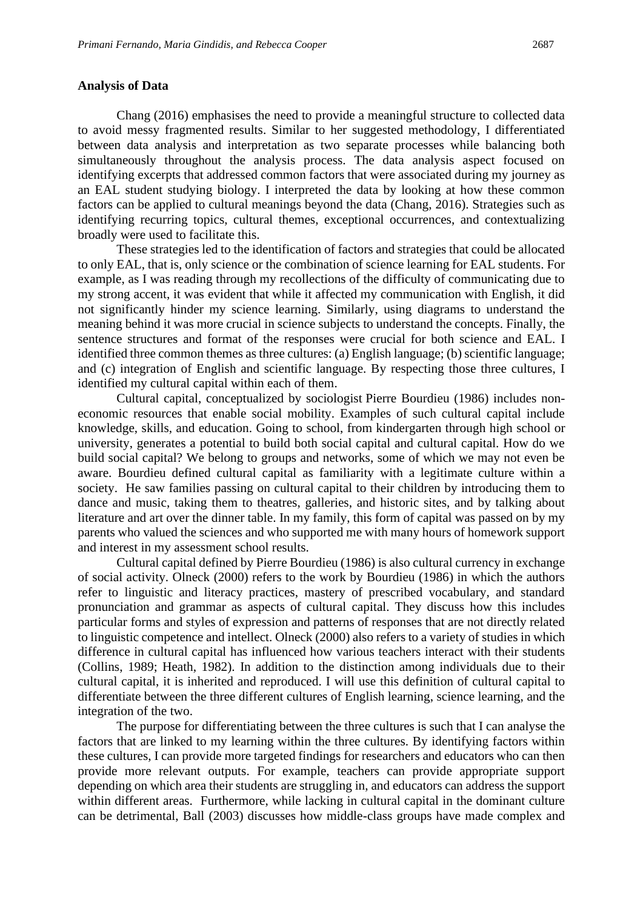### **Analysis of Data**

Chang (2016) emphasises the need to provide a meaningful structure to collected data to avoid messy fragmented results. Similar to her suggested methodology, I differentiated between data analysis and interpretation as two separate processes while balancing both simultaneously throughout the analysis process. The data analysis aspect focused on identifying excerpts that addressed common factors that were associated during my journey as an EAL student studying biology. I interpreted the data by looking at how these common factors can be applied to cultural meanings beyond the data (Chang, 2016). Strategies such as identifying recurring topics, cultural themes, exceptional occurrences, and contextualizing broadly were used to facilitate this.

These strategies led to the identification of factors and strategies that could be allocated to only EAL, that is, only science or the combination of science learning for EAL students. For example, as I was reading through my recollections of the difficulty of communicating due to my strong accent, it was evident that while it affected my communication with English, it did not significantly hinder my science learning. Similarly, using diagrams to understand the meaning behind it was more crucial in science subjects to understand the concepts. Finally, the sentence structures and format of the responses were crucial for both science and EAL. I identified three common themes as three cultures: (a) English language; (b) scientific language; and (c) integration of English and scientific language. By respecting those three cultures, I identified my cultural capital within each of them.

Cultural capital, conceptualized by sociologist Pierre Bourdieu (1986) includes noneconomic resources that enable social mobility. Examples of such cultural capital include knowledge, skills, and education. Going to school, from kindergarten through high school or university, generates a potential to build both social capital and cultural capital. How do we build social capital? We belong to groups and networks, some of which we may not even be aware. Bourdieu defined cultural capital as familiarity with a legitimate culture within a society. He saw families passing on cultural capital to their children by introducing them to dance and music, taking them to theatres, galleries, and historic sites, and by talking about literature and art over the dinner table. In my family, this form of capital was passed on by my parents who valued the sciences and who supported me with many hours of homework support and interest in my assessment school results.

Cultural capital defined by Pierre Bourdieu (1986) is also cultural currency in exchange of social activity. Olneck (2000) refers to the work by Bourdieu (1986) in which the authors refer to linguistic and literacy practices, mastery of prescribed vocabulary, and standard pronunciation and grammar as aspects of cultural capital. They discuss how this includes particular forms and styles of expression and patterns of responses that are not directly related to linguistic competence and intellect. Olneck (2000) also refers to a variety of studies in which difference in cultural capital has influenced how various teachers interact with their students (Collins, 1989; Heath, 1982). In addition to the distinction among individuals due to their cultural capital, it is inherited and reproduced. I will use this definition of cultural capital to differentiate between the three different cultures of English learning, science learning, and the integration of the two.

The purpose for differentiating between the three cultures is such that I can analyse the factors that are linked to my learning within the three cultures. By identifying factors within these cultures, I can provide more targeted findings for researchers and educators who can then provide more relevant outputs. For example, teachers can provide appropriate support depending on which area their students are struggling in, and educators can address the support within different areas. Furthermore, while lacking in cultural capital in the dominant culture can be detrimental, Ball (2003) discusses how middle-class groups have made complex and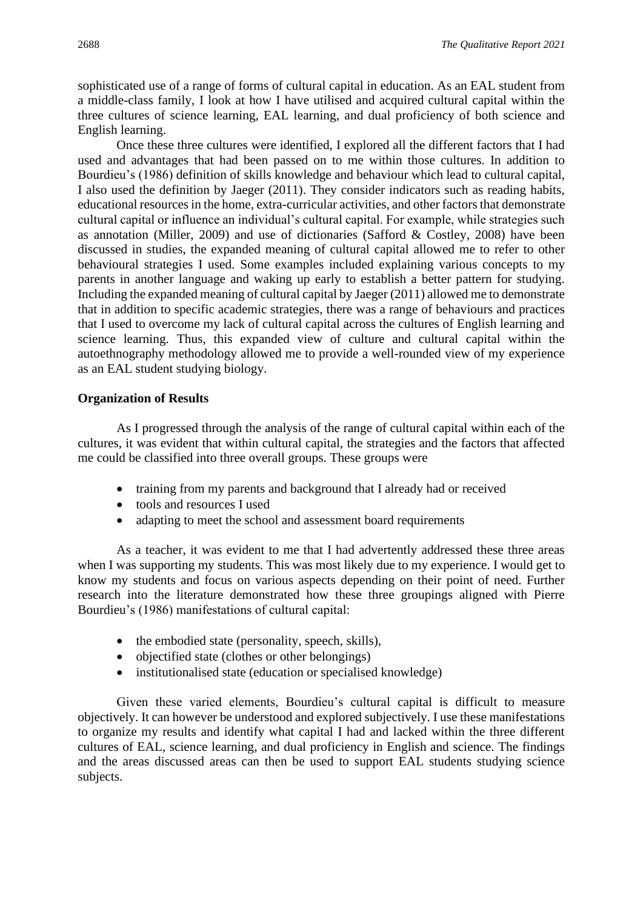sophisticated use of a range of forms of cultural capital in education. As an EAL student from a middle-class family, I look at how I have utilised and acquired cultural capital within the three cultures of science learning, EAL learning, and dual proficiency of both science and English learning.

Once these three cultures were identified, I explored all the different factors that I had used and advantages that had been passed on to me within those cultures. In addition to Bourdieu's (1986) definition of skills knowledge and behaviour which lead to cultural capital, I also used the definition by Jaeger (2011). They consider indicators such as reading habits, educational resources in the home, extra-curricular activities, and other factors that demonstrate cultural capital or influence an individual's cultural capital. For example, while strategies such as annotation (Miller, 2009) and use of dictionaries (Safford & Costley, 2008) have been discussed in studies, the expanded meaning of cultural capital allowed me to refer to other behavioural strategies I used. Some examples included explaining various concepts to my parents in another language and waking up early to establish a better pattern for studying. Including the expanded meaning of cultural capital by Jaeger (2011) allowed me to demonstrate that in addition to specific academic strategies, there was a range of behaviours and practices that I used to overcome my lack of cultural capital across the cultures of English learning and science learning. Thus, this expanded view of culture and cultural capital within the autoethnography methodology allowed me to provide a well-rounded view of my experience as an EAL student studying biology.

### **Organization of Results**

As I progressed through the analysis of the range of cultural capital within each of the cultures, it was evident that within cultural capital, the strategies and the factors that affected me could be classified into three overall groups. These groups were

- training from my parents and background that I already had or received
- tools and resources I used
- adapting to meet the school and assessment board requirements

As a teacher, it was evident to me that I had advertently addressed these three areas when I was supporting my students. This was most likely due to my experience. I would get to know my students and focus on various aspects depending on their point of need. Further research into the literature demonstrated how these three groupings aligned with Pierre Bourdieu's (1986) manifestations of cultural capital:

- the embodied state (personality, speech, skills),
- objectified state (clothes or other belongings)
- institutionalised state (education or specialised knowledge)

Given these varied elements, Bourdieu's cultural capital is difficult to measure objectively. It can however be understood and explored subjectively. I use these manifestations to organize my results and identify what capital I had and lacked within the three different cultures of EAL, science learning, and dual proficiency in English and science. The findings and the areas discussed areas can then be used to support EAL students studying science subjects.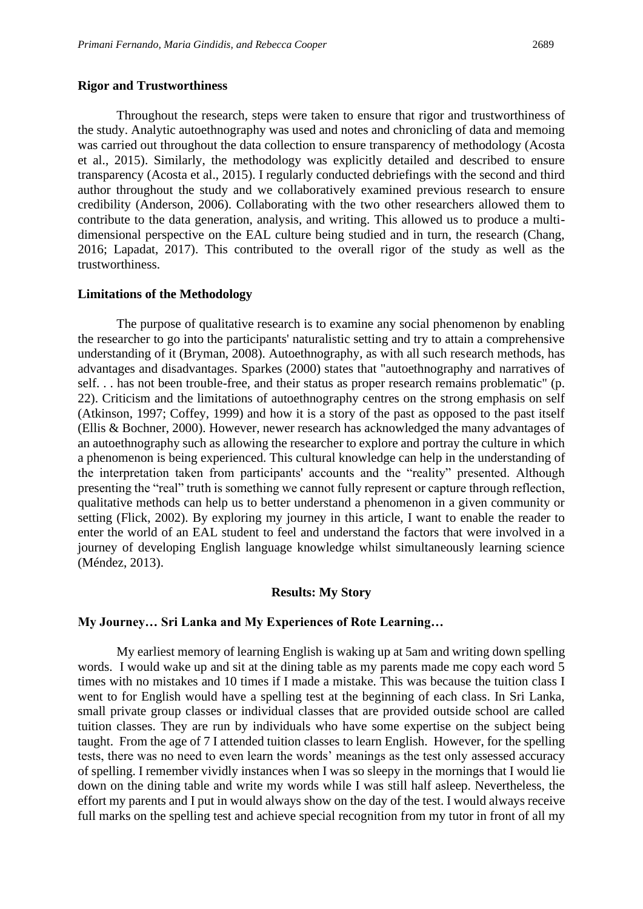#### **Rigor and Trustworthiness**

Throughout the research, steps were taken to ensure that rigor and trustworthiness of the study. Analytic autoethnography was used and notes and chronicling of data and memoing was carried out throughout the data collection to ensure transparency of methodology (Acosta et al., 2015). Similarly, the methodology was explicitly detailed and described to ensure transparency (Acosta et al., 2015). I regularly conducted debriefings with the second and third author throughout the study and we collaboratively examined previous research to ensure credibility (Anderson, 2006). Collaborating with the two other researchers allowed them to contribute to the data generation, analysis, and writing. This allowed us to produce a multidimensional perspective on the EAL culture being studied and in turn, the research (Chang, 2016; Lapadat, 2017). This contributed to the overall rigor of the study as well as the trustworthiness.

### **Limitations of the Methodology**

The purpose of qualitative research is to examine any social phenomenon by enabling the researcher to go into the participants' naturalistic setting and try to attain a comprehensive understanding of it (Bryman, 2008). Autoethnography, as with all such research methods, has advantages and disadvantages. Sparkes (2000) states that "autoethnography and narratives of self. . . has not been trouble-free, and their status as proper research remains problematic" (p. 22). Criticism and the limitations of autoethnography centres on the strong emphasis on self (Atkinson, 1997; Coffey, 1999) and how it is a story of the past as opposed to the past itself (Ellis & Bochner, 2000). However, newer research has acknowledged the many advantages of an autoethnography such as allowing the researcher to explore and portray the culture in which a phenomenon is being experienced. This cultural knowledge can help in the understanding of the interpretation taken from participants' accounts and the "reality" presented. Although presenting the "real" truth is something we cannot fully represent or capture through reflection, qualitative methods can help us to better understand a phenomenon in a given community or setting (Flick, 2002). By exploring my journey in this article, I want to enable the reader to enter the world of an EAL student to feel and understand the factors that were involved in a journey of developing English language knowledge whilst simultaneously learning science (Méndez, 2013).

#### **Results: My Story**

### **My Journey… Sri Lanka and My Experiences of Rote Learning…**

My earliest memory of learning English is waking up at 5am and writing down spelling words. I would wake up and sit at the dining table as my parents made me copy each word 5 times with no mistakes and 10 times if I made a mistake. This was because the tuition class I went to for English would have a spelling test at the beginning of each class. In Sri Lanka, small private group classes or individual classes that are provided outside school are called tuition classes. They are run by individuals who have some expertise on the subject being taught. From the age of 7 I attended tuition classes to learn English. However, for the spelling tests, there was no need to even learn the words' meanings as the test only assessed accuracy of spelling. I remember vividly instances when I was so sleepy in the mornings that I would lie down on the dining table and write my words while I was still half asleep. Nevertheless, the effort my parents and I put in would always show on the day of the test. I would always receive full marks on the spelling test and achieve special recognition from my tutor in front of all my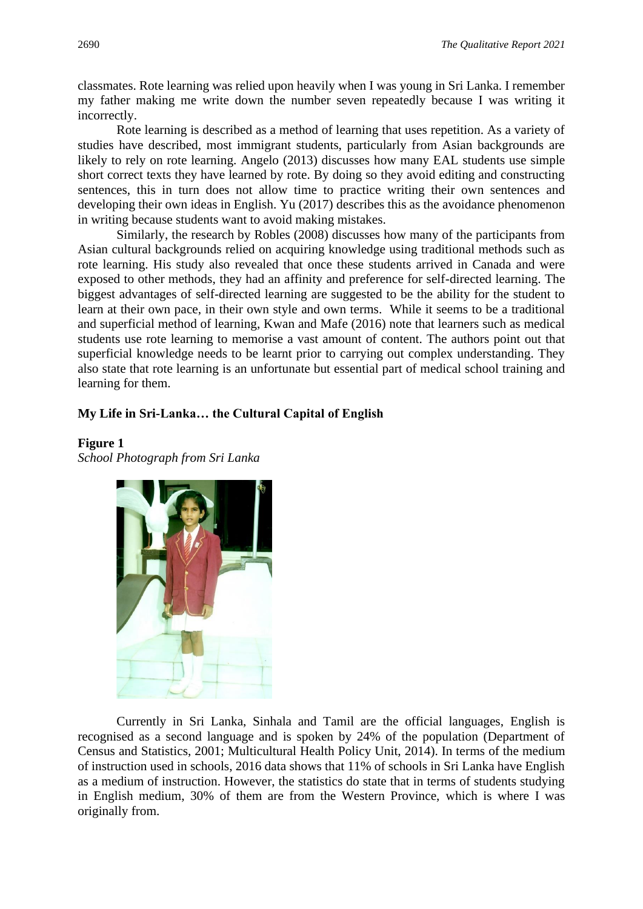classmates. Rote learning was relied upon heavily when I was young in Sri Lanka. I remember my father making me write down the number seven repeatedly because I was writing it incorrectly.

Rote learning is described as a method of learning that uses repetition. As a variety of studies have described, most immigrant students, particularly from Asian backgrounds are likely to rely on rote learning. Angelo (2013) discusses how many EAL students use simple short correct texts they have learned by rote. By doing so they avoid editing and constructing sentences, this in turn does not allow time to practice writing their own sentences and developing their own ideas in English. Yu (2017) describes this as the avoidance phenomenon in writing because students want to avoid making mistakes.

Similarly, the research by Robles (2008) discusses how many of the participants from Asian cultural backgrounds relied on acquiring knowledge using traditional methods such as rote learning. His study also revealed that once these students arrived in Canada and were exposed to other methods, they had an affinity and preference for self-directed learning. The biggest advantages of self-directed learning are suggested to be the ability for the student to learn at their own pace, in their own style and own terms. While it seems to be a traditional and superficial method of learning, Kwan and Mafe (2016) note that learners such as medical students use rote learning to memorise a vast amount of content. The authors point out that superficial knowledge needs to be learnt prior to carrying out complex understanding. They also state that rote learning is an unfortunate but essential part of medical school training and learning for them.

### **My Life in Sri-Lanka… the Cultural Capital of English**

### **Figure 1**

*School Photograph from Sri Lanka*



Currently in Sri Lanka, Sinhala and Tamil are the official languages, English is recognised as a second language and is spoken by 24% of the population (Department of Census and Statistics, 2001; Multicultural Health Policy Unit, 2014). In terms of the medium of instruction used in schools, 2016 data shows that 11% of schools in Sri Lanka have English as a medium of instruction. However, the statistics do state that in terms of students studying in English medium, 30% of them are from the Western Province, which is where I was originally from.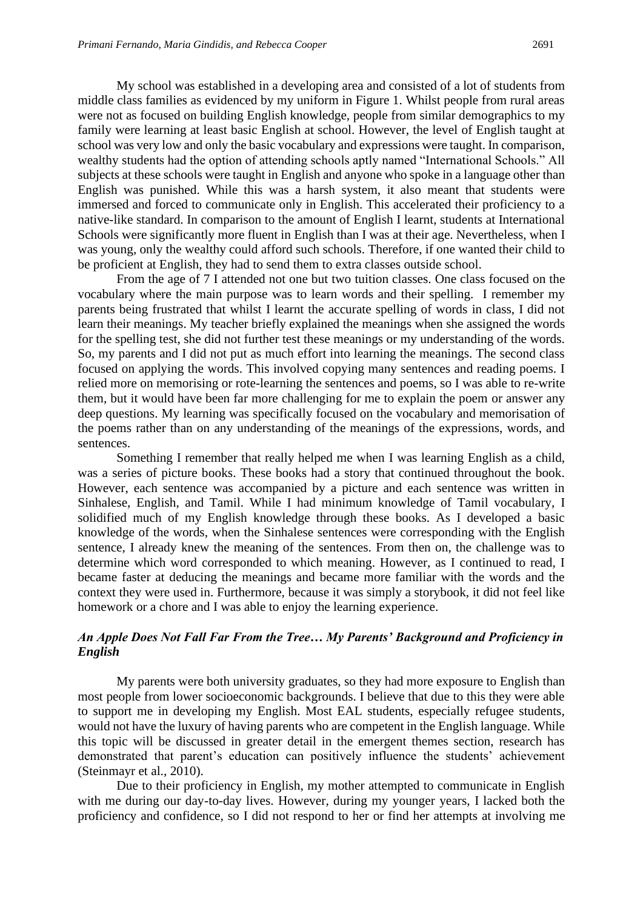My school was established in a developing area and consisted of a lot of students from middle class families as evidenced by my uniform in Figure 1. Whilst people from rural areas were not as focused on building English knowledge, people from similar demographics to my family were learning at least basic English at school. However, the level of English taught at school was very low and only the basic vocabulary and expressions were taught. In comparison, wealthy students had the option of attending schools aptly named "International Schools." All subjects at these schools were taught in English and anyone who spoke in a language other than English was punished. While this was a harsh system, it also meant that students were immersed and forced to communicate only in English. This accelerated their proficiency to a native-like standard. In comparison to the amount of English I learnt, students at International Schools were significantly more fluent in English than I was at their age. Nevertheless, when I was young, only the wealthy could afford such schools. Therefore, if one wanted their child to be proficient at English, they had to send them to extra classes outside school.

From the age of 7 I attended not one but two tuition classes. One class focused on the vocabulary where the main purpose was to learn words and their spelling. I remember my parents being frustrated that whilst I learnt the accurate spelling of words in class, I did not learn their meanings. My teacher briefly explained the meanings when she assigned the words for the spelling test, she did not further test these meanings or my understanding of the words. So, my parents and I did not put as much effort into learning the meanings. The second class focused on applying the words. This involved copying many sentences and reading poems. I relied more on memorising or rote-learning the sentences and poems, so I was able to re-write them, but it would have been far more challenging for me to explain the poem or answer any deep questions. My learning was specifically focused on the vocabulary and memorisation of the poems rather than on any understanding of the meanings of the expressions, words, and sentences.

Something I remember that really helped me when I was learning English as a child, was a series of picture books. These books had a story that continued throughout the book. However, each sentence was accompanied by a picture and each sentence was written in Sinhalese, English, and Tamil. While I had minimum knowledge of Tamil vocabulary, I solidified much of my English knowledge through these books. As I developed a basic knowledge of the words, when the Sinhalese sentences were corresponding with the English sentence, I already knew the meaning of the sentences. From then on, the challenge was to determine which word corresponded to which meaning. However, as I continued to read, I became faster at deducing the meanings and became more familiar with the words and the context they were used in. Furthermore, because it was simply a storybook, it did not feel like homework or a chore and I was able to enjoy the learning experience.

### *An Apple Does Not Fall Far From the Tree… My Parents' Background and Proficiency in English*

My parents were both university graduates, so they had more exposure to English than most people from lower socioeconomic backgrounds. I believe that due to this they were able to support me in developing my English. Most EAL students, especially refugee students, would not have the luxury of having parents who are competent in the English language. While this topic will be discussed in greater detail in the emergent themes section, research has demonstrated that parent's education can positively influence the students' achievement (Steinmayr et al., 2010).

Due to their proficiency in English, my mother attempted to communicate in English with me during our day-to-day lives. However, during my younger years, I lacked both the proficiency and confidence, so I did not respond to her or find her attempts at involving me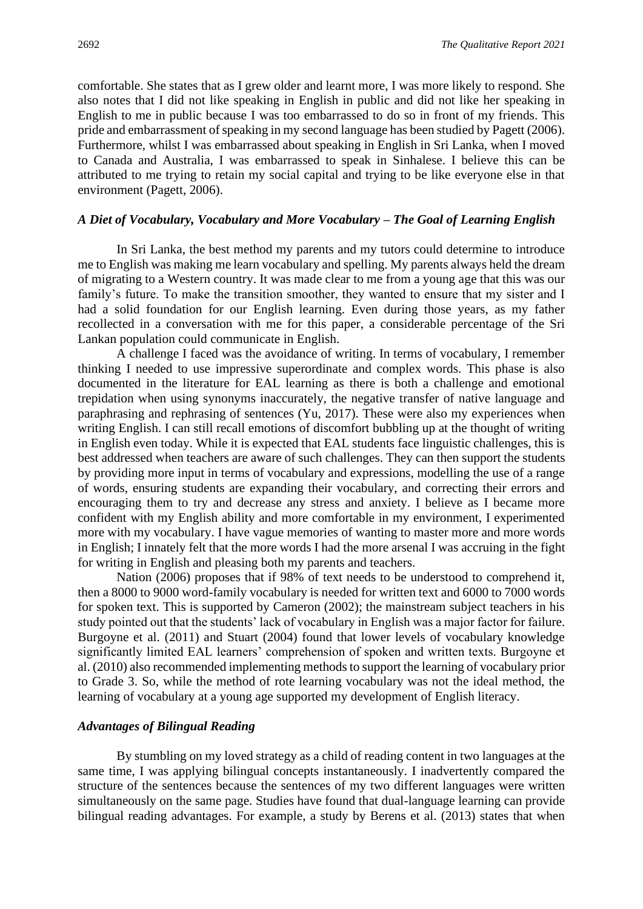comfortable. She states that as I grew older and learnt more, I was more likely to respond. She also notes that I did not like speaking in English in public and did not like her speaking in English to me in public because I was too embarrassed to do so in front of my friends. This pride and embarrassment of speaking in my second language has been studied by Pagett (2006). Furthermore, whilst I was embarrassed about speaking in English in Sri Lanka, when I moved to Canada and Australia, I was embarrassed to speak in Sinhalese. I believe this can be attributed to me trying to retain my social capital and trying to be like everyone else in that environment (Pagett, 2006).

### *A Diet of Vocabulary, Vocabulary and More Vocabulary – The Goal of Learning English*

In Sri Lanka, the best method my parents and my tutors could determine to introduce me to English was making me learn vocabulary and spelling. My parents always held the dream of migrating to a Western country. It was made clear to me from a young age that this was our family's future. To make the transition smoother, they wanted to ensure that my sister and I had a solid foundation for our English learning. Even during those years, as my father recollected in a conversation with me for this paper, a considerable percentage of the Sri Lankan population could communicate in English.

A challenge I faced was the avoidance of writing. In terms of vocabulary, I remember thinking I needed to use impressive superordinate and complex words. This phase is also documented in the literature for EAL learning as there is both a challenge and emotional trepidation when using synonyms inaccurately, the negative transfer of native language and paraphrasing and rephrasing of sentences (Yu, 2017). These were also my experiences when writing English. I can still recall emotions of discomfort bubbling up at the thought of writing in English even today. While it is expected that EAL students face linguistic challenges, this is best addressed when teachers are aware of such challenges. They can then support the students by providing more input in terms of vocabulary and expressions, modelling the use of a range of words, ensuring students are expanding their vocabulary, and correcting their errors and encouraging them to try and decrease any stress and anxiety. I believe as I became more confident with my English ability and more comfortable in my environment, I experimented more with my vocabulary. I have vague memories of wanting to master more and more words in English; I innately felt that the more words I had the more arsenal I was accruing in the fight for writing in English and pleasing both my parents and teachers.

Nation (2006) proposes that if 98% of text needs to be understood to comprehend it, then a 8000 to 9000 word-family vocabulary is needed for written text and 6000 to 7000 words for spoken text. This is supported by Cameron (2002); the mainstream subject teachers in his study pointed out that the students' lack of vocabulary in English was a major factor for failure. Burgoyne et al. (2011) and Stuart (2004) found that lower levels of vocabulary knowledge significantly limited EAL learners' comprehension of spoken and written texts. Burgoyne et al. (2010) also recommended implementing methods to support the learning of vocabulary prior to Grade 3. So, while the method of rote learning vocabulary was not the ideal method, the learning of vocabulary at a young age supported my development of English literacy.

### *Advantages of Bilingual Reading*

By stumbling on my loved strategy as a child of reading content in two languages at the same time, I was applying bilingual concepts instantaneously. I inadvertently compared the structure of the sentences because the sentences of my two different languages were written simultaneously on the same page. Studies have found that dual-language learning can provide bilingual reading advantages. For example, a study by Berens et al. (2013) states that when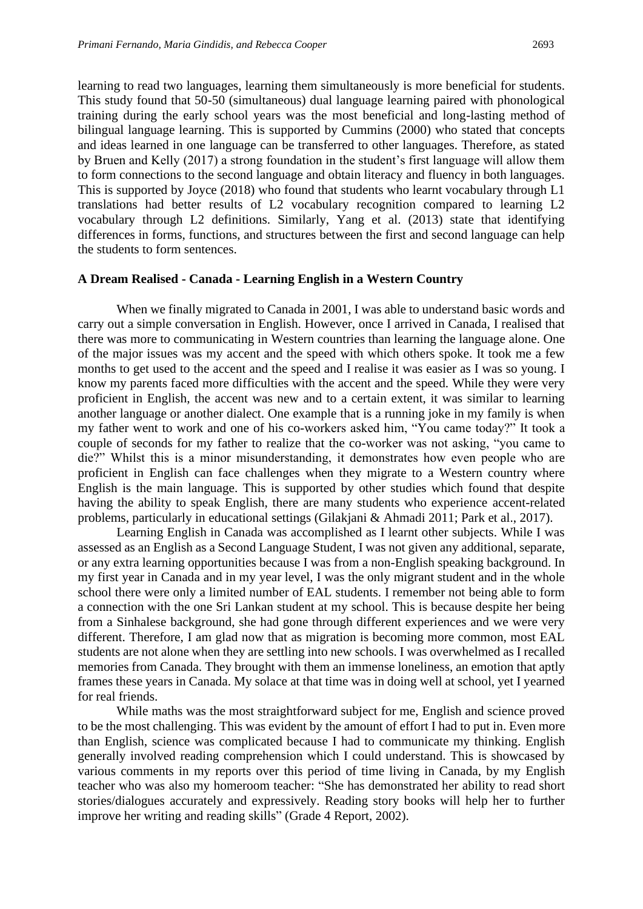learning to read two languages, learning them simultaneously is more beneficial for students. This study found that 50-50 (simultaneous) dual language learning paired with phonological training during the early school years was the most beneficial and long-lasting method of bilingual language learning. This is supported by Cummins (2000) who stated that concepts and ideas learned in one language can be transferred to other languages. Therefore, as stated by Bruen and Kelly (2017) a strong foundation in the student's first language will allow them to form connections to the second language and obtain literacy and fluency in both languages. This is supported by Joyce (2018) who found that students who learnt vocabulary through L1 translations had better results of L2 vocabulary recognition compared to learning L2 vocabulary through L2 definitions. Similarly, Yang et al. (2013) state that identifying differences in forms, functions, and structures between the first and second language can help the students to form sentences.

### **A Dream Realised - Canada - Learning English in a Western Country**

When we finally migrated to Canada in 2001, I was able to understand basic words and carry out a simple conversation in English. However, once I arrived in Canada, I realised that there was more to communicating in Western countries than learning the language alone. One of the major issues was my accent and the speed with which others spoke. It took me a few months to get used to the accent and the speed and I realise it was easier as I was so young. I know my parents faced more difficulties with the accent and the speed. While they were very proficient in English, the accent was new and to a certain extent, it was similar to learning another language or another dialect. One example that is a running joke in my family is when my father went to work and one of his co-workers asked him, "You came today?" It took a couple of seconds for my father to realize that the co-worker was not asking, "you came to die?" Whilst this is a minor misunderstanding, it demonstrates how even people who are proficient in English can face challenges when they migrate to a Western country where English is the main language. This is supported by other studies which found that despite having the ability to speak English, there are many students who experience accent-related problems, particularly in educational settings (Gilakjani & Ahmadi 2011; Park et al., 2017).

Learning English in Canada was accomplished as I learnt other subjects. While I was assessed as an English as a Second Language Student, I was not given any additional, separate, or any extra learning opportunities because I was from a non-English speaking background. In my first year in Canada and in my year level, I was the only migrant student and in the whole school there were only a limited number of EAL students. I remember not being able to form a connection with the one Sri Lankan student at my school. This is because despite her being from a Sinhalese background, she had gone through different experiences and we were very different. Therefore, I am glad now that as migration is becoming more common, most EAL students are not alone when they are settling into new schools. I was overwhelmed as I recalled memories from Canada. They brought with them an immense loneliness, an emotion that aptly frames these years in Canada. My solace at that time was in doing well at school, yet I yearned for real friends.

While maths was the most straightforward subject for me, English and science proved to be the most challenging. This was evident by the amount of effort I had to put in. Even more than English, science was complicated because I had to communicate my thinking. English generally involved reading comprehension which I could understand. This is showcased by various comments in my reports over this period of time living in Canada, by my English teacher who was also my homeroom teacher: "She has demonstrated her ability to read short stories/dialogues accurately and expressively. Reading story books will help her to further improve her writing and reading skills" (Grade 4 Report, 2002).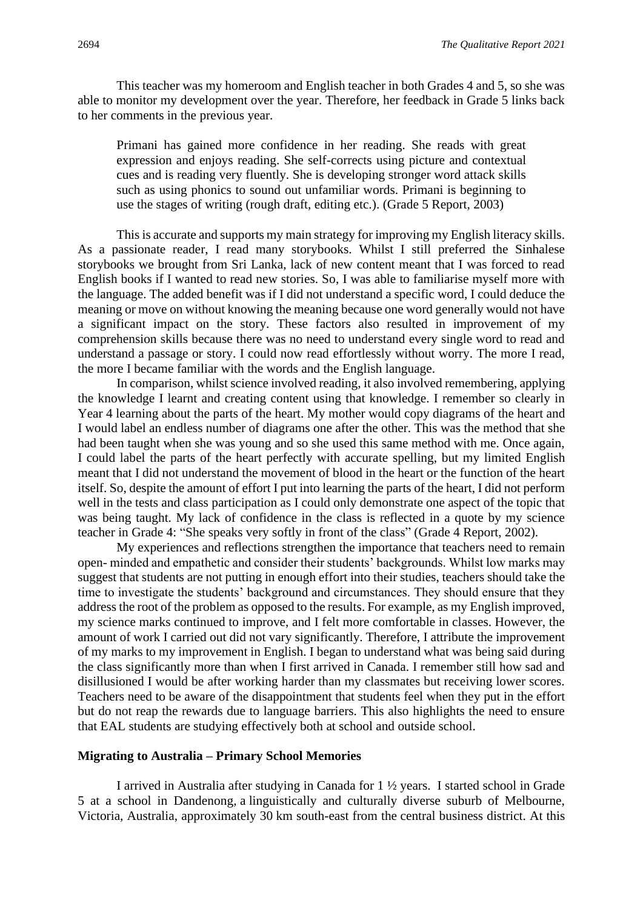This teacher was my homeroom and English teacher in both Grades 4 and 5, so she was able to monitor my development over the year. Therefore, her feedback in Grade 5 links back to her comments in the previous year.

Primani has gained more confidence in her reading. She reads with great expression and enjoys reading. She self-corrects using picture and contextual cues and is reading very fluently. She is developing stronger word attack skills such as using phonics to sound out unfamiliar words. Primani is beginning to use the stages of writing (rough draft, editing etc.). (Grade 5 Report, 2003)

This is accurate and supports my main strategy for improving my English literacy skills. As a passionate reader, I read many storybooks. Whilst I still preferred the Sinhalese storybooks we brought from Sri Lanka, lack of new content meant that I was forced to read English books if I wanted to read new stories. So, I was able to familiarise myself more with the language. The added benefit was if I did not understand a specific word, I could deduce the meaning or move on without knowing the meaning because one word generally would not have a significant impact on the story. These factors also resulted in improvement of my comprehension skills because there was no need to understand every single word to read and understand a passage or story. I could now read effortlessly without worry. The more I read, the more I became familiar with the words and the English language.

In comparison, whilst science involved reading, it also involved remembering, applying the knowledge I learnt and creating content using that knowledge. I remember so clearly in Year 4 learning about the parts of the heart. My mother would copy diagrams of the heart and I would label an endless number of diagrams one after the other. This was the method that she had been taught when she was young and so she used this same method with me. Once again, I could label the parts of the heart perfectly with accurate spelling, but my limited English meant that I did not understand the movement of blood in the heart or the function of the heart itself. So, despite the amount of effort I put into learning the parts of the heart, I did not perform well in the tests and class participation as I could only demonstrate one aspect of the topic that was being taught. My lack of confidence in the class is reflected in a quote by my science teacher in Grade 4: "She speaks very softly in front of the class" (Grade 4 Report, 2002).

My experiences and reflections strengthen the importance that teachers need to remain open- minded and empathetic and consider their students' backgrounds. Whilst low marks may suggest that students are not putting in enough effort into their studies, teachers should take the time to investigate the students' background and circumstances. They should ensure that they address the root of the problem as opposed to the results. For example, as my English improved, my science marks continued to improve, and I felt more comfortable in classes. However, the amount of work I carried out did not vary significantly. Therefore, I attribute the improvement of my marks to my improvement in English. I began to understand what was being said during the class significantly more than when I first arrived in Canada. I remember still how sad and disillusioned I would be after working harder than my classmates but receiving lower scores. Teachers need to be aware of the disappointment that students feel when they put in the effort but do not reap the rewards due to language barriers. This also highlights the need to ensure that EAL students are studying effectively both at school and outside school.

#### **Migrating to Australia – Primary School Memories**

I arrived in Australia after studying in Canada for 1 ½ years. I started school in Grade 5 at a school in Dandenong, a linguistically and culturally diverse suburb of Melbourne, Victoria, Australia, approximately 30 km south-east from the [central](https://en.wikipedia.org/wiki/Melbourne_City_Centre) business district. At this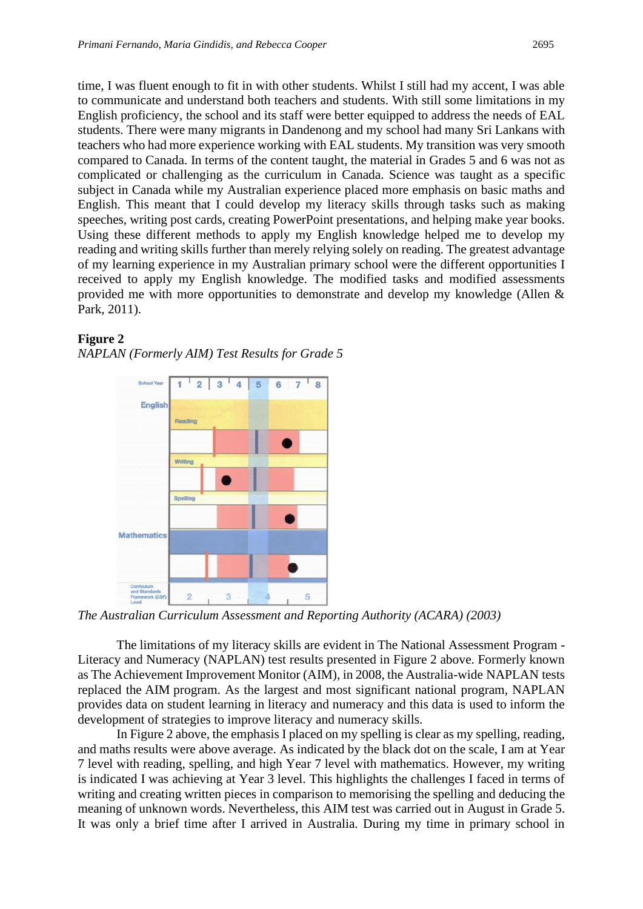time, I was fluent enough to fit in with other students. Whilst I still had my accent, I was able to communicate and understand both teachers and students. With still some limitations in my English proficiency, the school and its staff were better equipped to address the needs of EAL students. There were many migrants in Dandenong and my school had many Sri Lankans with teachers who had more experience working with EAL students. My transition was very smooth compared to Canada. In terms of the content taught, the material in Grades 5 and 6 was not as complicated or challenging as the curriculum in Canada. Science was taught as a specific subject in Canada while my Australian experience placed more emphasis on basic maths and English. This meant that I could develop my literacy skills through tasks such as making speeches, writing post cards, creating PowerPoint presentations, and helping make year books. Using these different methods to apply my English knowledge helped me to develop my reading and writing skills further than merely relying solely on reading. The greatest advantage of my learning experience in my Australian primary school were the different opportunities I received to apply my English knowledge. The modified tasks and modified assessments provided me with more opportunities to demonstrate and develop my knowledge (Allen & Park, 2011).



### **Figure 2**

*NAPLAN (Formerly AIM) Test Results for Grade 5* 

*The Australian Curriculum Assessment and Reporting Authority (ACARA) (2003)*

The limitations of my literacy skills are evident in The National Assessment Program - Literacy and Numeracy (NAPLAN) test results presented in Figure 2 above. Formerly known as The Achievement Improvement Monitor (AIM), in 2008, the Australia-wide NAPLAN tests replaced the AIM program. As the largest and most significant national program, NAPLAN provides data on student learning in literacy and numeracy and this data is used to inform the development of strategies to improve literacy and numeracy skills.

In Figure 2 above, the emphasis I placed on my spelling is clear as my spelling, reading, and maths results were above average. As indicated by the black dot on the scale, I am at Year 7 level with reading, spelling, and high Year 7 level with mathematics. However, my writing is indicated I was achieving at Year 3 level. This highlights the challenges I faced in terms of writing and creating written pieces in comparison to memorising the spelling and deducing the meaning of unknown words. Nevertheless, this AIM test was carried out in August in Grade 5. It was only a brief time after I arrived in Australia. During my time in primary school in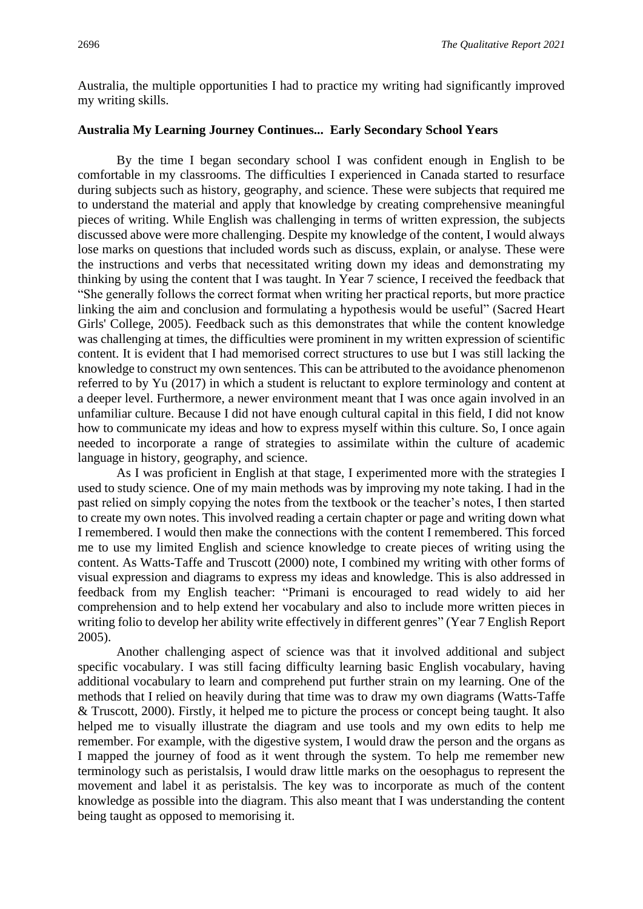Australia, the multiple opportunities I had to practice my writing had significantly improved my writing skills.

### **Australia My Learning Journey Continues... Early Secondary School Years**

By the time I began secondary school I was confident enough in English to be comfortable in my classrooms. The difficulties I experienced in Canada started to resurface during subjects such as history, geography, and science. These were subjects that required me to understand the material and apply that knowledge by creating comprehensive meaningful pieces of writing. While English was challenging in terms of written expression, the subjects discussed above were more challenging. Despite my knowledge of the content, I would always lose marks on questions that included words such as discuss, explain, or analyse. These were the instructions and verbs that necessitated writing down my ideas and demonstrating my thinking by using the content that I was taught. In Year 7 science, I received the feedback that "She generally follows the correct format when writing her practical reports, but more practice linking the aim and conclusion and formulating a hypothesis would be useful" (Sacred Heart Girls' College, 2005). Feedback such as this demonstrates that while the content knowledge was challenging at times, the difficulties were prominent in my written expression of scientific content. It is evident that I had memorised correct structures to use but I was still lacking the knowledge to construct my own sentences. This can be attributed to the avoidance phenomenon referred to by Yu (2017) in which a student is reluctant to explore terminology and content at a deeper level. Furthermore, a newer environment meant that I was once again involved in an unfamiliar culture. Because I did not have enough cultural capital in this field, I did not know how to communicate my ideas and how to express myself within this culture. So, I once again needed to incorporate a range of strategies to assimilate within the culture of academic language in history, geography, and science.

As I was proficient in English at that stage, I experimented more with the strategies I used to study science. One of my main methods was by improving my note taking. I had in the past relied on simply copying the notes from the textbook or the teacher's notes, I then started to create my own notes. This involved reading a certain chapter or page and writing down what I remembered. I would then make the connections with the content I remembered. This forced me to use my limited English and science knowledge to create pieces of writing using the content. As Watts-Taffe and Truscott (2000) note, I combined my writing with other forms of visual expression and diagrams to express my ideas and knowledge. This is also addressed in feedback from my English teacher: "Primani is encouraged to read widely to aid her comprehension and to help extend her vocabulary and also to include more written pieces in writing folio to develop her ability write effectively in different genres" (Year 7 English Report 2005).

Another challenging aspect of science was that it involved additional and subject specific vocabulary. I was still facing difficulty learning basic English vocabulary, having additional vocabulary to learn and comprehend put further strain on my learning. One of the methods that I relied on heavily during that time was to draw my own diagrams (Watts-Taffe & Truscott, 2000). Firstly, it helped me to picture the process or concept being taught. It also helped me to visually illustrate the diagram and use tools and my own edits to help me remember. For example, with the digestive system, I would draw the person and the organs as I mapped the journey of food as it went through the system. To help me remember new terminology such as peristalsis, I would draw little marks on the oesophagus to represent the movement and label it as peristalsis. The key was to incorporate as much of the content knowledge as possible into the diagram. This also meant that I was understanding the content being taught as opposed to memorising it.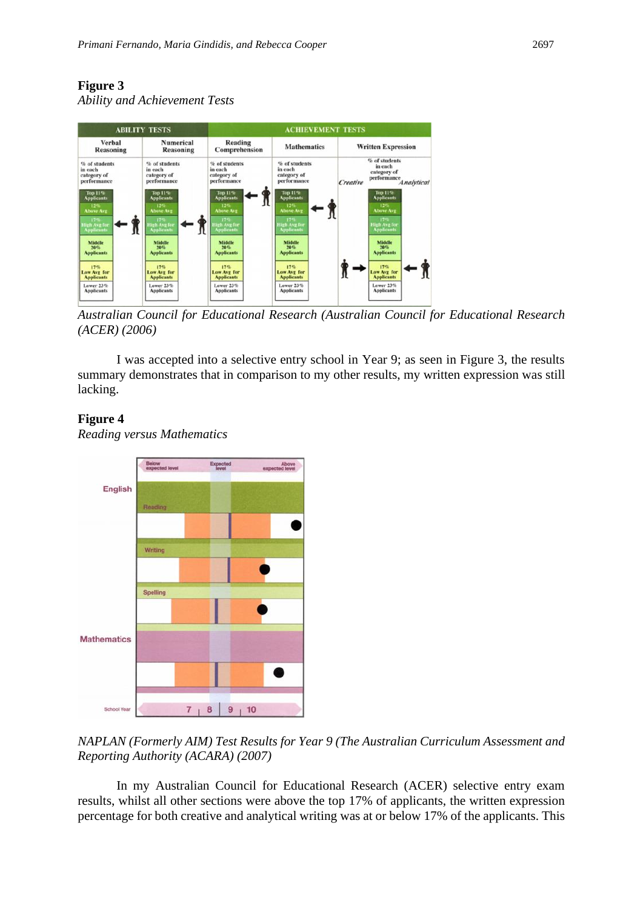### **Figure 3**

*Ability and Achievement Tests*



*Australian Council for Educational Research (Australian Council for Educational Research (ACER) (2006)*

I was accepted into a selective entry school in Year 9; as seen in Figure 3, the results summary demonstrates that in comparison to my other results, my written expression was still lacking.

### **Figure 4**

*Reading versus Mathematics*



### *NAPLAN (Formerly AIM) Test Results for Year 9 (The Australian Curriculum Assessment and Reporting Authority (ACARA) (2007)*

In my Australian Council for Educational Research (ACER) selective entry exam results, whilst all other sections were above the top 17% of applicants, the written expression percentage for both creative and analytical writing was at or below 17% of the applicants. This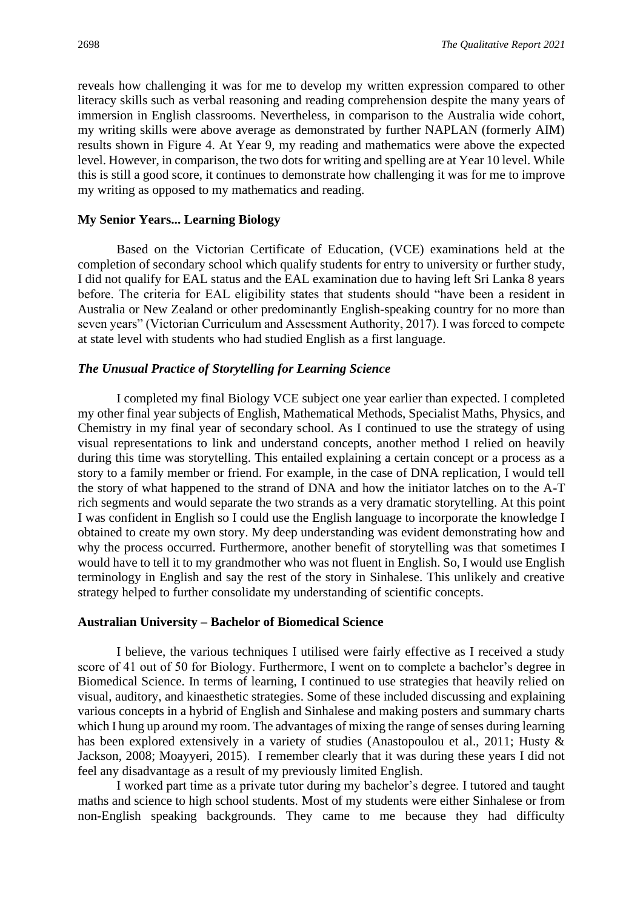reveals how challenging it was for me to develop my written expression compared to other literacy skills such as verbal reasoning and reading comprehension despite the many years of immersion in English classrooms. Nevertheless, in comparison to the Australia wide cohort, my writing skills were above average as demonstrated by further NAPLAN (formerly AIM) results shown in Figure 4. At Year 9, my reading and mathematics were above the expected level. However, in comparison, the two dots for writing and spelling are at Year 10 level. While this is still a good score, it continues to demonstrate how challenging it was for me to improve my writing as opposed to my mathematics and reading.

### **My Senior Years... Learning Biology**

Based on the Victorian Certificate of Education, (VCE) examinations held at the completion of secondary school which qualify students for entry to university or further study, I did not qualify for EAL status and the EAL examination due to having left Sri Lanka 8 years before. The criteria for EAL eligibility states that students should "have been a resident in Australia or New Zealand or other predominantly English-speaking country for no more than seven years" (Victorian Curriculum and Assessment Authority, 2017). I was forced to compete at state level with students who had studied English as a first language.

### *The Unusual Practice of Storytelling for Learning Science*

I completed my final Biology VCE subject one year earlier than expected. I completed my other final year subjects of English, Mathematical Methods, Specialist Maths, Physics, and Chemistry in my final year of secondary school. As I continued to use the strategy of using visual representations to link and understand concepts, another method I relied on heavily during this time was storytelling. This entailed explaining a certain concept or a process as a story to a family member or friend. For example, in the case of DNA replication, I would tell the story of what happened to the strand of DNA and how the initiator latches on to the A-T rich segments and would separate the two strands as a very dramatic storytelling. At this point I was confident in English so I could use the English language to incorporate the knowledge I obtained to create my own story. My deep understanding was evident demonstrating how and why the process occurred. Furthermore, another benefit of storytelling was that sometimes I would have to tell it to my grandmother who was not fluent in English. So, I would use English terminology in English and say the rest of the story in Sinhalese. This unlikely and creative strategy helped to further consolidate my understanding of scientific concepts.

### **Australian University – Bachelor of Biomedical Science**

I believe, the various techniques I utilised were fairly effective as I received a study score of 41 out of 50 for Biology. Furthermore, I went on to complete a bachelor's degree in Biomedical Science. In terms of learning, I continued to use strategies that heavily relied on visual, auditory, and kinaesthetic strategies. Some of these included discussing and explaining various concepts in a hybrid of English and Sinhalese and making posters and summary charts which I hung up around my room. The advantages of mixing the range of senses during learning has been explored extensively in a variety of studies (Anastopoulou et al., 2011; Husty & Jackson, 2008; Moayyeri, 2015). I remember clearly that it was during these years I did not feel any disadvantage as a result of my previously limited English.

I worked part time as a private tutor during my bachelor's degree. I tutored and taught maths and science to high school students. Most of my students were either Sinhalese or from non-English speaking backgrounds. They came to me because they had difficulty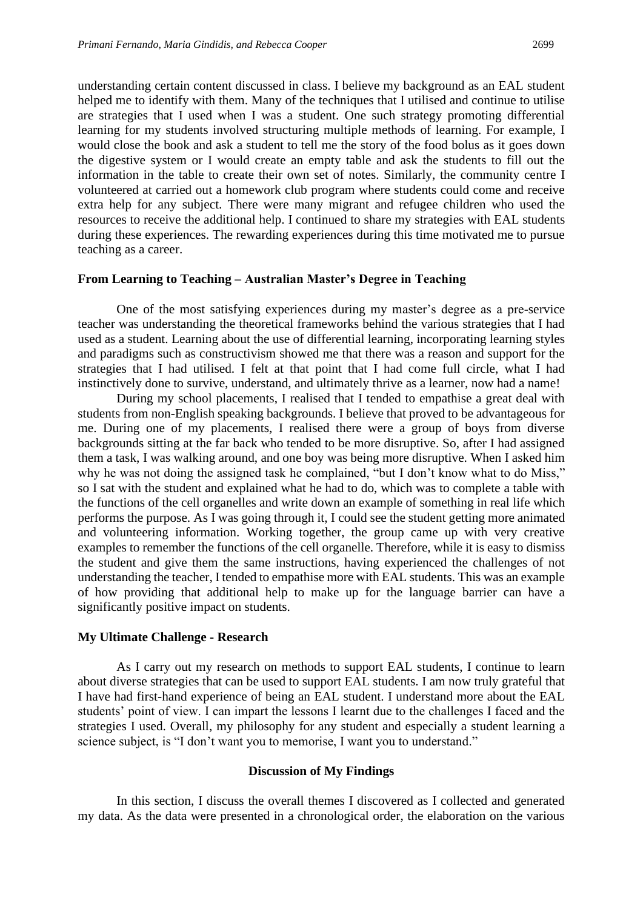understanding certain content discussed in class. I believe my background as an EAL student helped me to identify with them. Many of the techniques that I utilised and continue to utilise are strategies that I used when I was a student. One such strategy promoting differential learning for my students involved structuring multiple methods of learning. For example, I would close the book and ask a student to tell me the story of the food bolus as it goes down the digestive system or I would create an empty table and ask the students to fill out the information in the table to create their own set of notes. Similarly, the community centre I volunteered at carried out a homework club program where students could come and receive extra help for any subject. There were many migrant and refugee children who used the resources to receive the additional help. I continued to share my strategies with EAL students during these experiences. The rewarding experiences during this time motivated me to pursue teaching as a career.

### **From Learning to Teaching – Australian Master's Degree in Teaching**

One of the most satisfying experiences during my master's degree as a pre-service teacher was understanding the theoretical frameworks behind the various strategies that I had used as a student. Learning about the use of differential learning, incorporating learning styles and paradigms such as constructivism showed me that there was a reason and support for the strategies that I had utilised. I felt at that point that I had come full circle, what I had instinctively done to survive, understand, and ultimately thrive as a learner, now had a name!

During my school placements, I realised that I tended to empathise a great deal with students from non-English speaking backgrounds. I believe that proved to be advantageous for me. During one of my placements, I realised there were a group of boys from diverse backgrounds sitting at the far back who tended to be more disruptive. So, after I had assigned them a task, I was walking around, and one boy was being more disruptive. When I asked him why he was not doing the assigned task he complained, "but I don't know what to do Miss," so I sat with the student and explained what he had to do, which was to complete a table with the functions of the cell organelles and write down an example of something in real life which performs the purpose. As I was going through it, I could see the student getting more animated and volunteering information. Working together, the group came up with very creative examples to remember the functions of the cell organelle. Therefore, while it is easy to dismiss the student and give them the same instructions, having experienced the challenges of not understanding the teacher, I tended to empathise more with EAL students. This was an example of how providing that additional help to make up for the language barrier can have a significantly positive impact on students.

### **My Ultimate Challenge - Research**

As I carry out my research on methods to support EAL students, I continue to learn about diverse strategies that can be used to support EAL students. I am now truly grateful that I have had first-hand experience of being an EAL student. I understand more about the EAL students' point of view. I can impart the lessons I learnt due to the challenges I faced and the strategies I used. Overall, my philosophy for any student and especially a student learning a science subject, is "I don't want you to memorise, I want you to understand."

### **Discussion of My Findings**

In this section, I discuss the overall themes I discovered as I collected and generated my data. As the data were presented in a chronological order, the elaboration on the various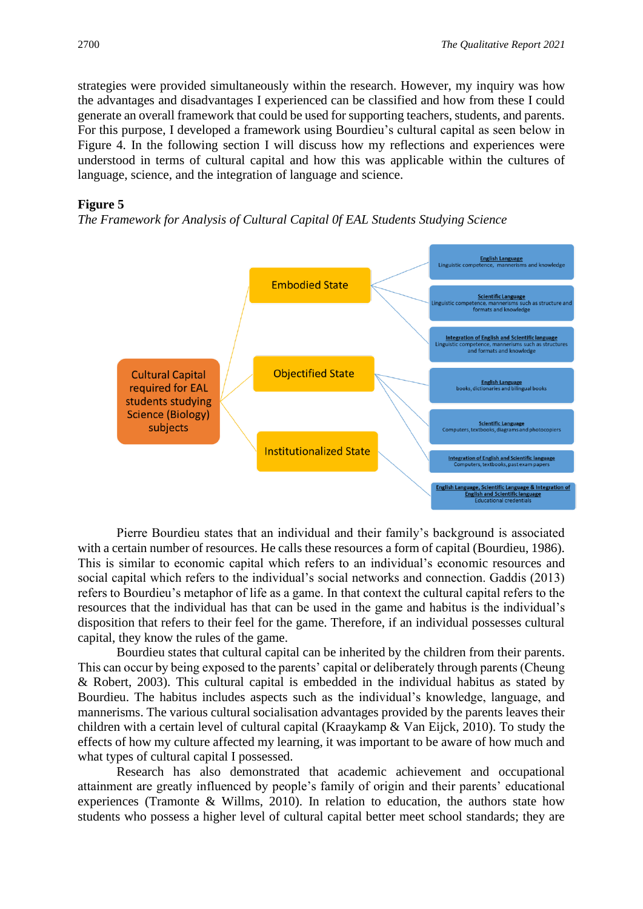strategies were provided simultaneously within the research. However, my inquiry was how the advantages and disadvantages I experienced can be classified and how from these I could generate an overall framework that could be used for supporting teachers, students, and parents. For this purpose, I developed a framework using Bourdieu's cultural capital as seen below in Figure 4. In the following section I will discuss how my reflections and experiences were understood in terms of cultural capital and how this was applicable within the cultures of language, science, and the integration of language and science.

### **Figure 5**

*The Framework for Analysis of Cultural Capital 0f EAL Students Studying Science*



Pierre Bourdieu states that an individual and their family's background is associated with a certain number of resources. He calls these resources a form of capital (Bourdieu, 1986). This is similar to economic capital which refers to an individual's economic resources and social capital which refers to the individual's social networks and connection. Gaddis (2013) refers to Bourdieu's metaphor of life as a game. In that context the cultural capital refers to the resources that the individual has that can be used in the game and habitus is the individual's disposition that refers to their feel for the game. Therefore, if an individual possesses cultural capital, they know the rules of the game.

Bourdieu states that cultural capital can be inherited by the children from their parents. This can occur by being exposed to the parents' capital or deliberately through parents (Cheung & Robert, 2003). This cultural capital is embedded in the individual habitus as stated by Bourdieu. The habitus includes aspects such as the individual's knowledge, language, and mannerisms. The various cultural socialisation advantages provided by the parents leaves their children with a certain level of cultural capital (Kraaykamp & Van Eijck, 2010). To study the effects of how my culture affected my learning, it was important to be aware of how much and what types of cultural capital I possessed.

Research has also demonstrated that academic achievement and occupational attainment are greatly influenced by people's family of origin and their parents' educational experiences (Tramonte & Willms, 2010). In relation to education, the authors state how students who possess a higher level of cultural capital better meet school standards; they are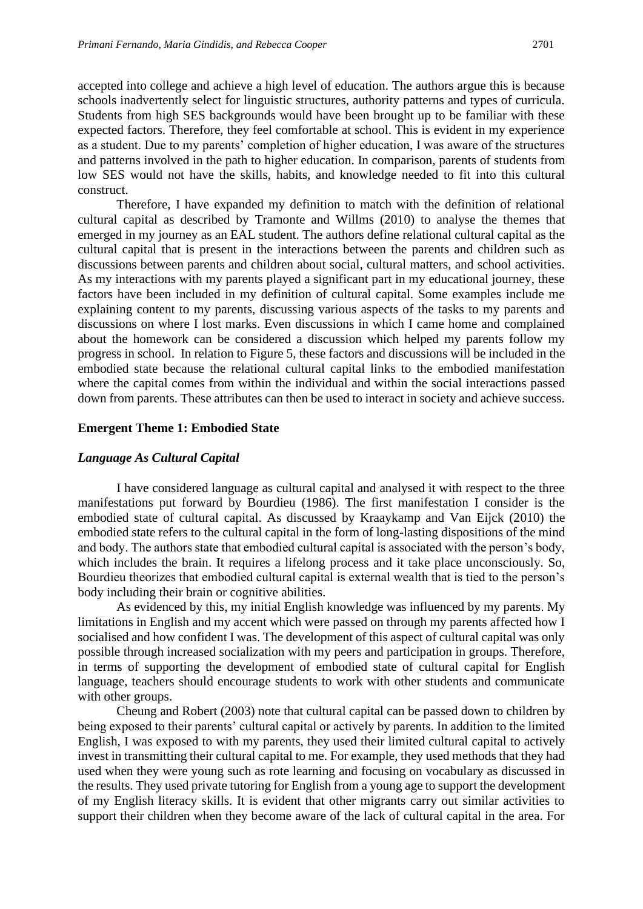accepted into college and achieve a high level of education. The authors argue this is because schools inadvertently select for linguistic structures, authority patterns and types of curricula. Students from high SES backgrounds would have been brought up to be familiar with these expected factors. Therefore, they feel comfortable at school. This is evident in my experience as a student. Due to my parents' completion of higher education, I was aware of the structures and patterns involved in the path to higher education. In comparison, parents of students from low SES would not have the skills, habits, and knowledge needed to fit into this cultural construct.

Therefore, I have expanded my definition to match with the definition of relational cultural capital as described by Tramonte and Willms (2010) to analyse the themes that emerged in my journey as an EAL student. The authors define relational cultural capital as the cultural capital that is present in the interactions between the parents and children such as discussions between parents and children about social, cultural matters, and school activities. As my interactions with my parents played a significant part in my educational journey, these factors have been included in my definition of cultural capital. Some examples include me explaining content to my parents, discussing various aspects of the tasks to my parents and discussions on where I lost marks. Even discussions in which I came home and complained about the homework can be considered a discussion which helped my parents follow my progress in school. In relation to Figure 5, these factors and discussions will be included in the embodied state because the relational cultural capital links to the embodied manifestation where the capital comes from within the individual and within the social interactions passed down from parents. These attributes can then be used to interact in society and achieve success.

#### **Emergent Theme 1: Embodied State**

### *Language As Cultural Capital*

I have considered language as cultural capital and analysed it with respect to the three manifestations put forward by Bourdieu (1986). The first manifestation I consider is the embodied state of cultural capital. As discussed by Kraaykamp and Van Eijck (2010) the embodied state refers to the cultural capital in the form of long-lasting dispositions of the mind and body. The authors state that embodied cultural capital is associated with the person's body, which includes the brain. It requires a lifelong process and it take place unconsciously. So, Bourdieu theorizes that embodied cultural capital is external wealth that is tied to the person's body including their brain or cognitive abilities.

As evidenced by this, my initial English knowledge was influenced by my parents. My limitations in English and my accent which were passed on through my parents affected how I socialised and how confident I was. The development of this aspect of cultural capital was only possible through increased socialization with my peers and participation in groups. Therefore, in terms of supporting the development of embodied state of cultural capital for English language, teachers should encourage students to work with other students and communicate with other groups.

Cheung and Robert (2003) note that cultural capital can be passed down to children by being exposed to their parents' cultural capital or actively by parents. In addition to the limited English, I was exposed to with my parents, they used their limited cultural capital to actively invest in transmitting their cultural capital to me. For example, they used methods that they had used when they were young such as rote learning and focusing on vocabulary as discussed in the results. They used private tutoring for English from a young age to support the development of my English literacy skills. It is evident that other migrants carry out similar activities to support their children when they become aware of the lack of cultural capital in the area. For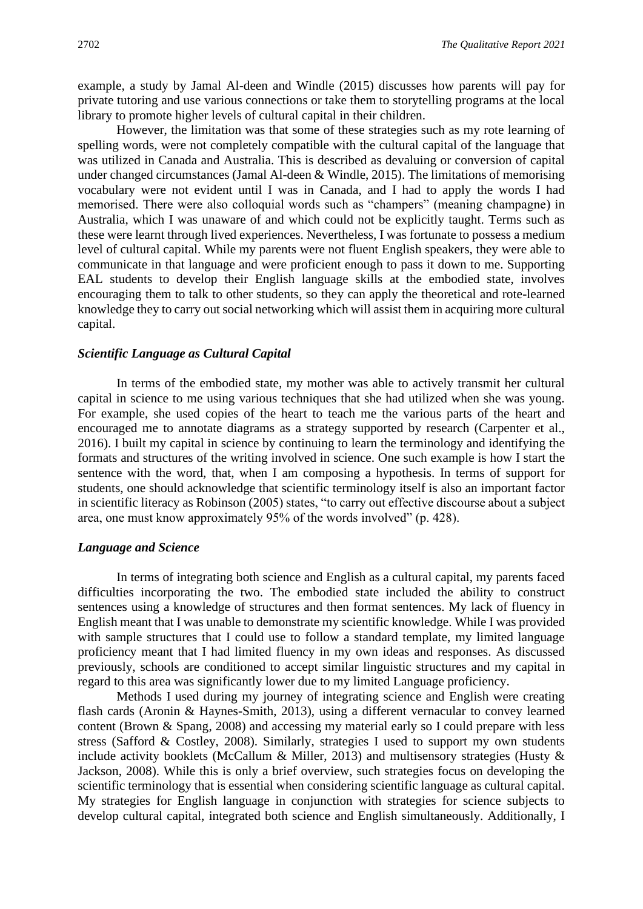example, a study by Jamal Al-deen and Windle (2015) discusses how parents will pay for private tutoring and use various connections or take them to storytelling programs at the local library to promote higher levels of cultural capital in their children.

However, the limitation was that some of these strategies such as my rote learning of spelling words, were not completely compatible with the cultural capital of the language that was utilized in Canada and Australia. This is described as devaluing or conversion of capital under changed circumstances (Jamal Al-deen & Windle, 2015). The limitations of memorising vocabulary were not evident until I was in Canada, and I had to apply the words I had memorised. There were also colloquial words such as "champers" (meaning champagne) in Australia, which I was unaware of and which could not be explicitly taught. Terms such as these were learnt through lived experiences. Nevertheless, I was fortunate to possess a medium level of cultural capital. While my parents were not fluent English speakers, they were able to communicate in that language and were proficient enough to pass it down to me. Supporting EAL students to develop their English language skills at the embodied state, involves encouraging them to talk to other students, so they can apply the theoretical and rote-learned knowledge they to carry out social networking which will assist them in acquiring more cultural capital.

### *Scientific Language as Cultural Capital*

In terms of the embodied state, my mother was able to actively transmit her cultural capital in science to me using various techniques that she had utilized when she was young. For example, she used copies of the heart to teach me the various parts of the heart and encouraged me to annotate diagrams as a strategy supported by research (Carpenter et al., 2016). I built my capital in science by continuing to learn the terminology and identifying the formats and structures of the writing involved in science. One such example is how I start the sentence with the word, that, when I am composing a hypothesis. In terms of support for students, one should acknowledge that scientific terminology itself is also an important factor in scientific literacy as Robinson (2005) states, "to carry out effective discourse about a subject area, one must know approximately 95% of the words involved" (p. 428).

### *Language and Science*

In terms of integrating both science and English as a cultural capital, my parents faced difficulties incorporating the two. The embodied state included the ability to construct sentences using a knowledge of structures and then format sentences. My lack of fluency in English meant that I was unable to demonstrate my scientific knowledge. While I was provided with sample structures that I could use to follow a standard template, my limited language proficiency meant that I had limited fluency in my own ideas and responses. As discussed previously, schools are conditioned to accept similar linguistic structures and my capital in regard to this area was significantly lower due to my limited Language proficiency.

Methods I used during my journey of integrating science and English were creating flash cards (Aronin & Haynes-Smith, 2013), using a different vernacular to convey learned content (Brown & Spang, 2008) and accessing my material early so I could prepare with less stress (Safford & Costley, 2008). Similarly, strategies I used to support my own students include activity booklets (McCallum & Miller, 2013) and multisensory strategies (Husty  $\&$ Jackson, 2008). While this is only a brief overview, such strategies focus on developing the scientific terminology that is essential when considering scientific language as cultural capital. My strategies for English language in conjunction with strategies for science subjects to develop cultural capital, integrated both science and English simultaneously. Additionally, I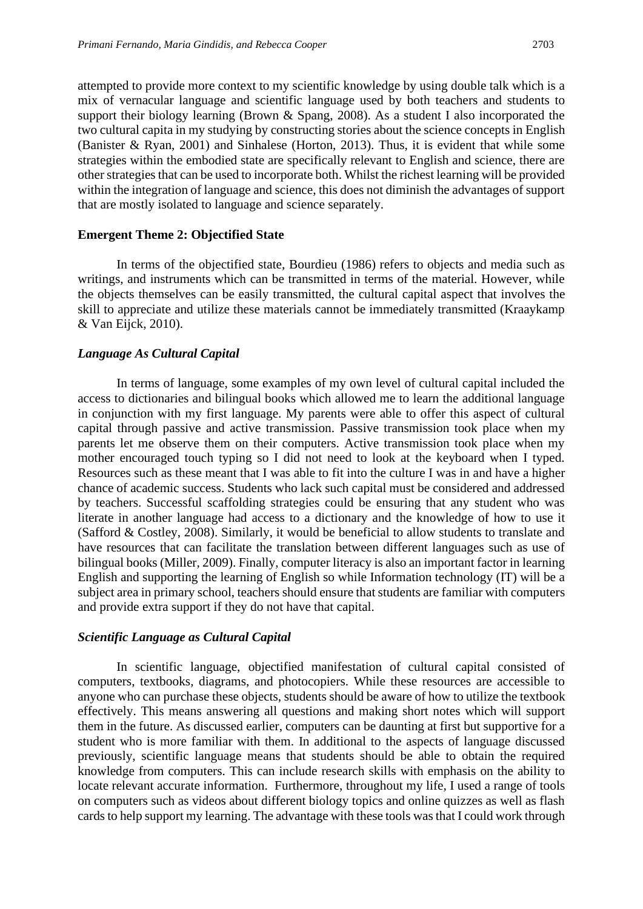attempted to provide more context to my scientific knowledge by using double talk which is a mix of vernacular language and scientific language used by both teachers and students to support their biology learning (Brown & Spang, 2008). As a student I also incorporated the two cultural capita in my studying by constructing stories about the science concepts in English (Banister & Ryan, 2001) and Sinhalese (Horton, 2013). Thus, it is evident that while some strategies within the embodied state are specifically relevant to English and science, there are other strategies that can be used to incorporate both. Whilst the richest learning will be provided within the integration of language and science, this does not diminish the advantages of support that are mostly isolated to language and science separately.

### **Emergent Theme 2: Objectified State**

In terms of the objectified state, Bourdieu (1986) refers to objects and media such as writings, and instruments which can be transmitted in terms of the material. However, while the objects themselves can be easily transmitted, the cultural capital aspect that involves the skill to appreciate and utilize these materials cannot be immediately transmitted (Kraaykamp & Van Eijck, 2010).

### *Language As Cultural Capital*

In terms of language, some examples of my own level of cultural capital included the access to dictionaries and bilingual books which allowed me to learn the additional language in conjunction with my first language. My parents were able to offer this aspect of cultural capital through passive and active transmission. Passive transmission took place when my parents let me observe them on their computers. Active transmission took place when my mother encouraged touch typing so I did not need to look at the keyboard when I typed. Resources such as these meant that I was able to fit into the culture I was in and have a higher chance of academic success. Students who lack such capital must be considered and addressed by teachers. Successful scaffolding strategies could be ensuring that any student who was literate in another language had access to a dictionary and the knowledge of how to use it (Safford & Costley, 2008). Similarly, it would be beneficial to allow students to translate and have resources that can facilitate the translation between different languages such as use of bilingual books (Miller, 2009). Finally, computer literacy is also an important factor in learning English and supporting the learning of English so while Information technology (IT) will be a subject area in primary school, teachers should ensure that students are familiar with computers and provide extra support if they do not have that capital.

### *Scientific Language as Cultural Capital*

In scientific language, objectified manifestation of cultural capital consisted of computers, textbooks, diagrams, and photocopiers. While these resources are accessible to anyone who can purchase these objects, students should be aware of how to utilize the textbook effectively. This means answering all questions and making short notes which will support them in the future. As discussed earlier, computers can be daunting at first but supportive for a student who is more familiar with them. In additional to the aspects of language discussed previously, scientific language means that students should be able to obtain the required knowledge from computers. This can include research skills with emphasis on the ability to locate relevant accurate information. Furthermore, throughout my life, I used a range of tools on computers such as videos about different biology topics and online quizzes as well as flash cards to help support my learning. The advantage with these tools was that I could work through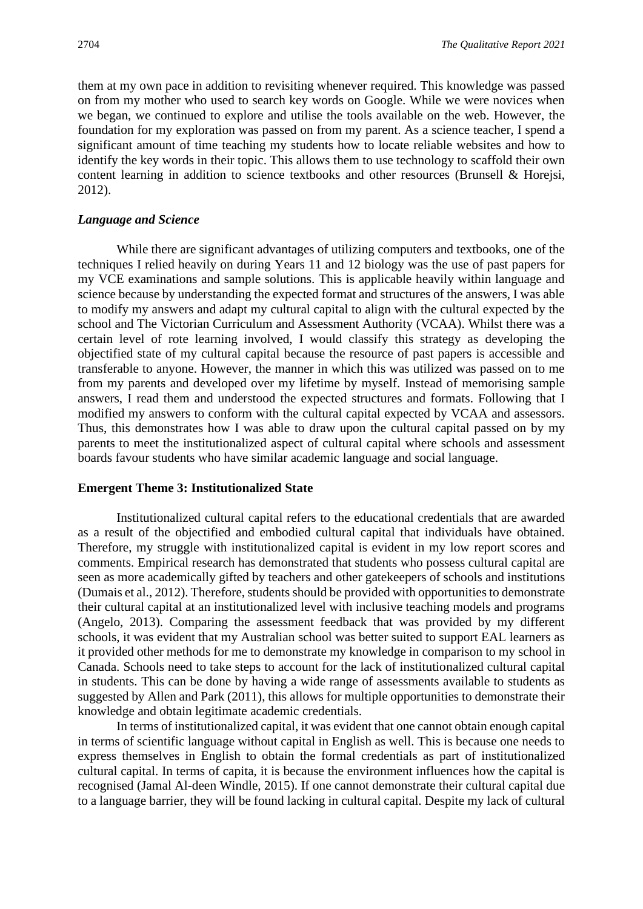them at my own pace in addition to revisiting whenever required. This knowledge was passed on from my mother who used to search key words on Google. While we were novices when we began, we continued to explore and utilise the tools available on the web. However, the foundation for my exploration was passed on from my parent. As a science teacher, I spend a significant amount of time teaching my students how to locate reliable websites and how to identify the key words in their topic. This allows them to use technology to scaffold their own content learning in addition to science textbooks and other resources (Brunsell & Horejsi, 2012).

### *Language and Science*

While there are significant advantages of utilizing computers and textbooks, one of the techniques I relied heavily on during Years 11 and 12 biology was the use of past papers for my VCE examinations and sample solutions. This is applicable heavily within language and science because by understanding the expected format and structures of the answers, I was able to modify my answers and adapt my cultural capital to align with the cultural expected by the school and The Victorian Curriculum and Assessment Authority (VCAA). Whilst there was a certain level of rote learning involved, I would classify this strategy as developing the objectified state of my cultural capital because the resource of past papers is accessible and transferable to anyone. However, the manner in which this was utilized was passed on to me from my parents and developed over my lifetime by myself. Instead of memorising sample answers, I read them and understood the expected structures and formats. Following that I modified my answers to conform with the cultural capital expected by VCAA and assessors. Thus, this demonstrates how I was able to draw upon the cultural capital passed on by my parents to meet the institutionalized aspect of cultural capital where schools and assessment boards favour students who have similar academic language and social language.

#### **Emergent Theme 3: Institutionalized State**

Institutionalized cultural capital refers to the educational credentials that are awarded as a result of the objectified and embodied cultural capital that individuals have obtained. Therefore, my struggle with institutionalized capital is evident in my low report scores and comments. Empirical research has demonstrated that students who possess cultural capital are seen as more academically gifted by teachers and other gatekeepers of schools and institutions (Dumais et al., 2012). Therefore, students should be provided with opportunities to demonstrate their cultural capital at an institutionalized level with inclusive teaching models and programs (Angelo, 2013). Comparing the assessment feedback that was provided by my different schools, it was evident that my Australian school was better suited to support EAL learners as it provided other methods for me to demonstrate my knowledge in comparison to my school in Canada. Schools need to take steps to account for the lack of institutionalized cultural capital in students. This can be done by having a wide range of assessments available to students as suggested by Allen and Park (2011), this allows for multiple opportunities to demonstrate their knowledge and obtain legitimate academic credentials.

In terms of institutionalized capital, it was evident that one cannot obtain enough capital in terms of scientific language without capital in English as well. This is because one needs to express themselves in English to obtain the formal credentials as part of institutionalized cultural capital. In terms of capita, it is because the environment influences how the capital is recognised (Jamal Al-deen Windle, 2015). If one cannot demonstrate their cultural capital due to a language barrier, they will be found lacking in cultural capital. Despite my lack of cultural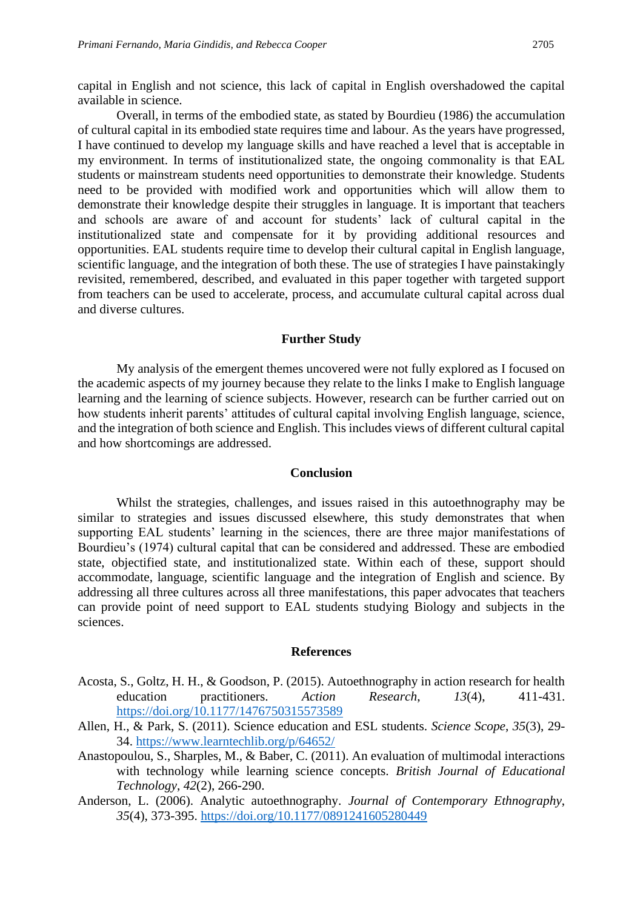capital in English and not science, this lack of capital in English overshadowed the capital available in science.

Overall, in terms of the embodied state, as stated by Bourdieu (1986) the accumulation of cultural capital in its embodied state requires time and labour. As the years have progressed, I have continued to develop my language skills and have reached a level that is acceptable in my environment. In terms of institutionalized state, the ongoing commonality is that EAL students or mainstream students need opportunities to demonstrate their knowledge. Students need to be provided with modified work and opportunities which will allow them to demonstrate their knowledge despite their struggles in language. It is important that teachers and schools are aware of and account for students' lack of cultural capital in the institutionalized state and compensate for it by providing additional resources and opportunities. EAL students require time to develop their cultural capital in English language, scientific language, and the integration of both these. The use of strategies I have painstakingly revisited, remembered, described, and evaluated in this paper together with targeted support from teachers can be used to accelerate, process, and accumulate cultural capital across dual and diverse cultures.

### **Further Study**

My analysis of the emergent themes uncovered were not fully explored as I focused on the academic aspects of my journey because they relate to the links I make to English language learning and the learning of science subjects. However, research can be further carried out on how students inherit parents' attitudes of cultural capital involving English language, science, and the integration of both science and English. This includes views of different cultural capital and how shortcomings are addressed.

### **Conclusion**

Whilst the strategies, challenges, and issues raised in this autoethnography may be similar to strategies and issues discussed elsewhere, this study demonstrates that when supporting EAL students' learning in the sciences, there are three major manifestations of Bourdieu's (1974) cultural capital that can be considered and addressed. These are embodied state, objectified state, and institutionalized state. Within each of these, support should accommodate, language, scientific language and the integration of English and science. By addressing all three cultures across all three manifestations, this paper advocates that teachers can provide point of need support to EAL students studying Biology and subjects in the sciences.

#### **References**

- Acosta, S., Goltz, H. H., & Goodson, P. (2015). Autoethnography in action research for health education practitioners. *Action Research*, *13*(4), 411-431. <https://doi.org/10.1177/1476750315573589>
- Allen, H., & Park, S. (2011). Science education and ESL students. *Science Scope*, *35*(3), 29- 34.<https://www.learntechlib.org/p/64652/>
- Anastopoulou, S., Sharples, M., & Baber, C. (2011). An evaluation of multimodal interactions with technology while learning science concepts. *British Journal of Educational Technology*, *42*(2), 266-290.
- Anderson, L. (2006). Analytic autoethnography. *Journal of Contemporary Ethnography*, *35*(4), 373-395.<https://doi.org/10.1177/0891241605280449>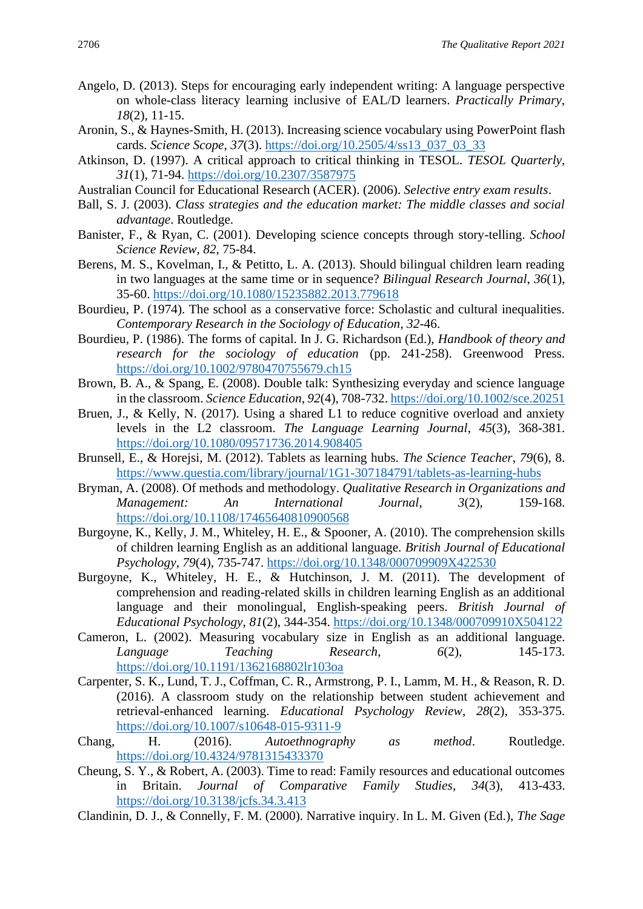- Angelo, D. (2013). Steps for encouraging early independent writing: A language perspective on whole-class literacy learning inclusive of EAL/D learners. *Practically Primary*, *18*(2), 11-15.
- Aronin, S., & Haynes-Smith, H. (2013). Increasing science vocabulary using PowerPoint flash cards. *Science Scope*, *37*(3). [https://doi.org/10.2505/4/ss13\\_037\\_03\\_33](https://doi.org/10.2505/4/ss13_037_03_33)
- Atkinson, D. (1997). A critical approach to critical thinking in TESOL. *TESOL Quarterly*, *31*(1), 71-94.<https://doi.org/10.2307/3587975>
- Australian Council for Educational Research (ACER). (2006). *Selective entry exam results*.
- Ball, S. J. (2003). *Class strategies and the education market: The middle classes and social advantage*. Routledge.
- Banister, F., & Ryan, C. (2001). Developing science concepts through story-telling. *School Science Review*, *82*, 75-84.
- Berens, M. S., Kovelman, I., & Petitto, L. A. (2013). Should bilingual children learn reading in two languages at the same time or in sequence? *Bilingual Research Journal*, *36*(1), 35-60.<https://doi.org/10.1080/15235882.2013.779618>
- Bourdieu, P. (1974). The school as a conservative force: Scholastic and cultural inequalities. *Contemporary Research in the Sociology of Education*, *32*-46.
- Bourdieu, P. (1986). The forms of capital. In J. G. Richardson (Ed.), *Handbook of theory and research for the sociology of education* (pp. 241-258). Greenwood Press. <https://doi.org/10.1002/9780470755679.ch15>
- Brown, B. A., & Spang, E. (2008). Double talk: Synthesizing everyday and science language in the classroom. *Science Education*, *92*(4), 708-732[. https://doi.org/10.1002/sce.20251](https://doi.org/10.1002/sce.20251)
- Bruen, J., & Kelly, N. (2017). Using a shared L1 to reduce cognitive overload and anxiety levels in the L2 classroom. *The Language Learning Journal*, *45*(3), 368-381. <https://doi.org/10.1080/09571736.2014.908405>
- Brunsell, E., & Horejsi, M. (2012). Tablets as learning hubs. *The Science Teacher*, *79*(6), 8. <https://www.questia.com/library/journal/1G1-307184791/tablets-as-learning-hubs>
- Bryman, A. (2008). Of methods and methodology. *Qualitative Research in Organizations and Management: An International Journal*, *3*(2), 159-168. <https://doi.org/10.1108/17465640810900568>
- Burgoyne, K., Kelly, J. M., Whiteley, H. E., & Spooner, A. (2010). The comprehension skills of children learning English as an additional language. *British Journal of Educational Psychology*, *79*(4), 735-747.<https://doi.org/10.1348/000709909X422530>
- Burgoyne, K., Whiteley, H. E., & Hutchinson, J. M. (2011). The development of comprehension and reading-related skills in children learning English as an additional language and their monolingual, English-speaking peers. *British Journal of Educational Psychology*, *81*(2), 344-354.<https://doi.org/10.1348/000709910X504122>
- Cameron, L. (2002). Measuring vocabulary size in English as an additional language. *Language Teaching Research*, *6*(2), 145-173. <https://doi.org/10.1191/1362168802lr103oa>
- Carpenter, S. K., Lund, T. J., Coffman, C. R., Armstrong, P. I., Lamm, M. H., & Reason, R. D. (2016). A classroom study on the relationship between student achievement and retrieval-enhanced learning. *Educational Psychology Review*, *28*(2), 353-375. <https://doi.org/10.1007/s10648-015-9311-9>
- Chang, H. (2016). *Autoethnography as method*. Routledge. <https://doi.org/10.4324/9781315433370>
- Cheung, S. Y., & Robert, A. (2003). Time to read: Family resources and educational outcomes in Britain. *Journal of Comparative Family Studies*, *34*(3), 413-433. <https://doi.org/10.3138/jcfs.34.3.413>
- Clandinin, D. J., & Connelly, F. M. (2000). Narrative inquiry. In L. M. Given (Ed.), *The Sage*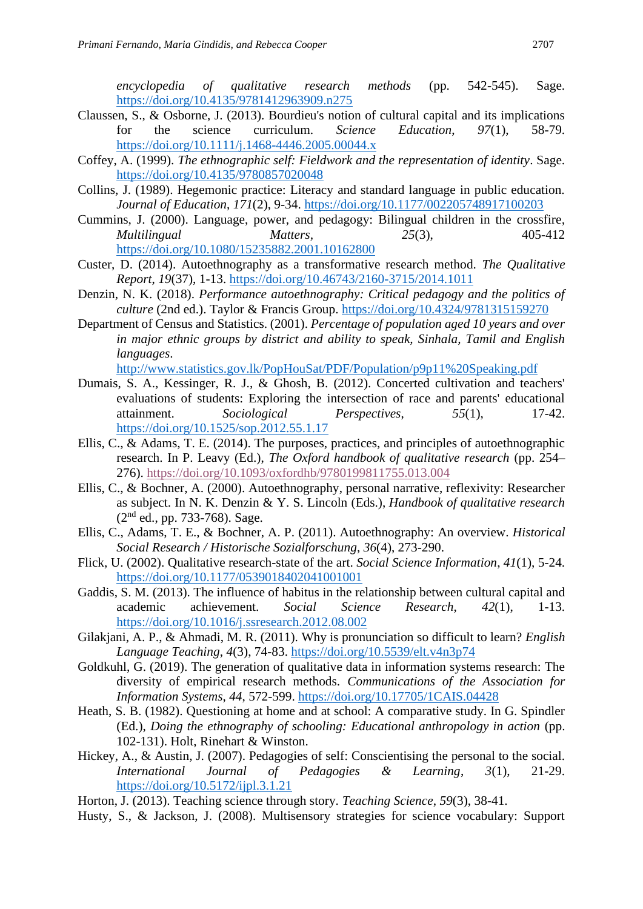*encyclopedia of qualitative research methods* (pp. 542-545). Sage. <https://doi.org/10.4135/9781412963909.n275>

- Claussen, S., & Osborne, J. (2013). Bourdieu's notion of cultural capital and its implications for the science curriculum. *Science Education*, *97*(1), 58-79. <https://doi.org/10.1111/j.1468-4446.2005.00044.x>
- Coffey, A. (1999). *The ethnographic self: Fieldwork and the representation of identity*. Sage. <https://doi.org/10.4135/9780857020048>
- Collins, J. (1989). Hegemonic practice: Literacy and standard language in public education. *Journal of Education*, *171*(2), 9-34.<https://doi.org/10.1177/002205748917100203>
- Cummins, J. (2000). Language, power, and pedagogy: Bilingual children in the crossfire*, Multilingual Matters, 25*(3), 405-412 <https://doi.org/10.1080/15235882.2001.10162800>
- Custer, D. (2014). Autoethnography as a transformative research method. *The Qualitative Report*, *19*(37), 1-13.<https://doi.org/10.46743/2160-3715/2014.1011>
- Denzin, N. K. (2018). *Performance autoethnography: Critical pedagogy and the politics of culture* (2nd ed.). Taylor & Francis Group.<https://doi.org/10.4324/9781315159270>
- Department of Census and Statistics. (2001). *Percentage of population aged 10 years and over in major ethnic groups by district and ability to speak, Sinhala, Tamil and English languages*.

<http://www.statistics.gov.lk/PopHouSat/PDF/Population/p9p11%20Speaking.pdf>

- Dumais, S. A., Kessinger, R. J., & Ghosh, B. (2012). Concerted cultivation and teachers' evaluations of students: Exploring the intersection of race and parents' educational attainment. *Sociological Perspectives*, *55*(1), 17-42. <https://doi.org/10.1525/sop.2012.55.1.17>
- Ellis, C., & Adams, T. E. (2014). The purposes, practices, and principles of autoethnographic research. In P. Leavy (Ed.), *The Oxford handbook of qualitative research* (pp. 254– 276).<https://doi.org/10.1093/oxfordhb/9780199811755.013.004>
- Ellis, C., & Bochner, A. (2000). Autoethnography, personal narrative, reflexivity: Researcher as subject. In N. K. Denzin & Y. S. Lincoln (Eds.), *Handbook of qualitative research*  (2nd ed., pp. 733-768). Sage.
- Ellis, C., Adams, T. E., & Bochner, A. P. (2011). Autoethnography: An overview. *Historical Social Research / Historische Sozialforschung*, *36*(4), 273-290.
- Flick, U. (2002). Qualitative research-state of the art. *Social Science Information*, *41*(1), 5-24. <https://doi.org/10.1177/0539018402041001001>
- Gaddis, S. M. (2013). The influence of habitus in the relationship between cultural capital and academic achievement. *Social Science Research*, *42*(1), 1-13. <https://doi.org/10.1016/j.ssresearch.2012.08.002>
- Gilakjani, A. P., & Ahmadi, M. R. (2011). Why is pronunciation so difficult to learn? *English Language Teaching*, *4*(3), 74-83.<https://doi.org/10.5539/elt.v4n3p74>
- Goldkuhl, G. (2019). The generation of qualitative data in information systems research: The diversity of empirical research methods. *Communications of the Association for Information Systems*, *44*, 572-599.<https://doi.org/10.17705/1CAIS.04428>
- Heath, S. B. (1982). Questioning at home and at school: A comparative study. In G. Spindler (Ed.), *Doing the ethnography of schooling: Educational anthropology in action* (pp. 102-131). Holt, Rinehart & Winston.
- Hickey, A., & Austin, J. (2007). Pedagogies of self: Conscientising the personal to the social. *International Journal of Pedagogies & Learning*, *3*(1), 21-29. <https://doi.org/10.5172/ijpl.3.1.21>
- Horton, J. (2013). Teaching science through story. *Teaching Science*, *59*(3), 38-41.
- Husty, S., & Jackson, J. (2008). Multisensory strategies for science vocabulary: Support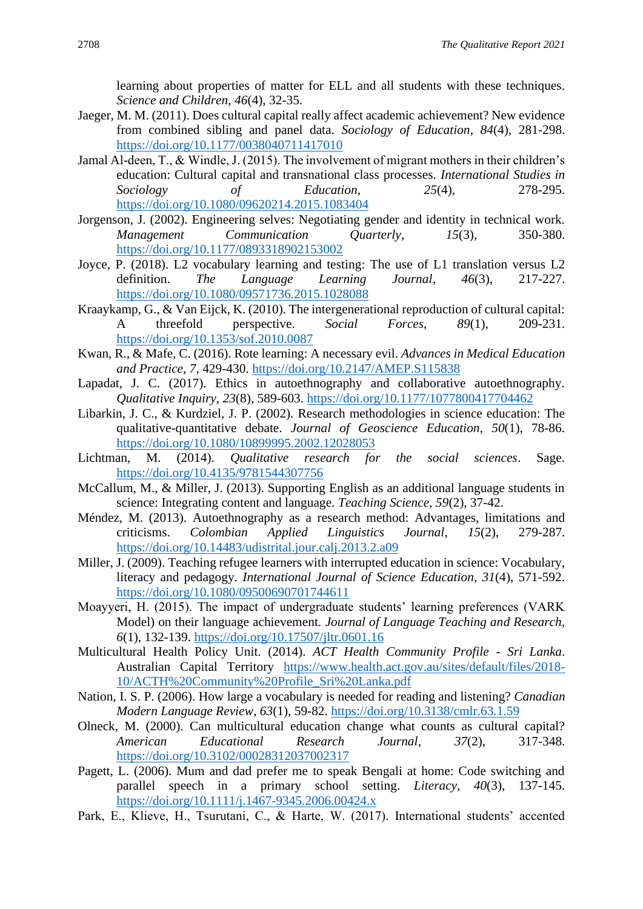learning about properties of matter for ELL and all students with these techniques. *Science and Children*, *46*(4), 32-35.

- Jaeger, M. M. (2011). Does cultural capital really affect academic achievement? New evidence from combined sibling and panel data. *Sociology of Education*, *84*(4), 281-298. <https://doi.org/10.1177/0038040711417010>
- Jamal Al-deen, T., & Windle, J. (2015). The involvement of migrant mothers in their children's education: Cultural capital and transnational class processes. *International Studies in Sociology of Education*, *25*(4), 278-295. <https://doi.org/10.1080/09620214.2015.1083404>
- Jorgenson, J. (2002). Engineering selves: Negotiating gender and identity in technical work. *Management Communication Quarterly*, *15*(3), 350-380. <https://doi.org/10.1177/0893318902153002>
- Joyce, P. (2018). L2 vocabulary learning and testing: The use of L1 translation versus L2 definition. *The Language Learning Journal*, *46*(3), 217-227. <https://doi.org/10.1080/09571736.2015.1028088>
- Kraaykamp, G., & Van Eijck, K. (2010). The intergenerational reproduction of cultural capital: A threefold perspective. *Social Forces*, *89*(1), 209-231. <https://doi.org/10.1353/sof.2010.0087>
- Kwan, R., & Mafe, C. (2016). Rote learning: A necessary evil. *Advances in Medical Education and Practice*, *7*, 429-430.<https://doi.org/10.2147/AMEP.S115838>
- Lapadat, J. C. (2017). Ethics in autoethnography and collaborative autoethnography. *Qualitative Inquiry*, *23*(8), 589-603.<https://doi.org/10.1177/1077800417704462>
- Libarkin, J. C., & Kurdziel, J. P. (2002). Research methodologies in science education: The qualitative-quantitative debate. *Journal of Geoscience Education*, *50*(1), 78-86. <https://doi.org/10.1080/10899995.2002.12028053>
- Lichtman, M. (2014). *Qualitative research for the social sciences*. Sage. <https://doi.org/10.4135/9781544307756>
- McCallum, M., & Miller, J. (2013). Supporting English as an additional language students in science: Integrating content and language. *Teaching Science*, *59*(2), 37-42.
- Méndez, M. (2013). Autoethnography as a research method: Advantages, limitations and criticisms. *Colombian Applied Linguistics Journal*, *15*(2), 279-287. <https://doi.org/10.14483/udistrital.jour.calj.2013.2.a09>
- Miller, J. (2009). Teaching refugee learners with interrupted education in science: Vocabulary, literacy and pedagogy. *International Journal of Science Education*, *31*(4), 571-592. <https://doi.org/10.1080/09500690701744611>
- Moayyeri, H. (2015). The impact of undergraduate students' learning preferences (VARK Model) on their language achievement. *Journal of Language Teaching and Research*, *6*(1), 132-139.<https://doi.org/10.17507/jltr.0601.16>
- Multicultural Health Policy Unit. (2014). *ACT Health Community Profile - Sri Lanka*. Australian Capital Territory [https://www.health.act.gov.au/sites/default/files/2018-](https://www.health.act.gov.au/sites/default/files/2018-10/ACTH%20Community%20Profile_Sri%20Lanka.pdf) [10/ACTH%20Community%20Profile\\_Sri%20Lanka.pdf](https://www.health.act.gov.au/sites/default/files/2018-10/ACTH%20Community%20Profile_Sri%20Lanka.pdf)
- Nation, I. S. P. (2006). How large a vocabulary is needed for reading and listening? *Canadian Modern Language Review*, *63*(1), 59-82.<https://doi.org/10.3138/cmlr.63.1.59>
- Olneck, M. (2000). Can multicultural education change what counts as cultural capital? *American Educational Research Journal*, *37*(2), 317-348. <https://doi.org/10.3102/00028312037002317>
- Pagett, L. (2006). Mum and dad prefer me to speak Bengali at home: Code switching and parallel speech in a primary school setting. *Literacy*, *40*(3), 137-145. <https://doi.org/10.1111/j.1467-9345.2006.00424.x>
- Park, E., Klieve, H., Tsurutani, C., & Harte, W. (2017). International students' accented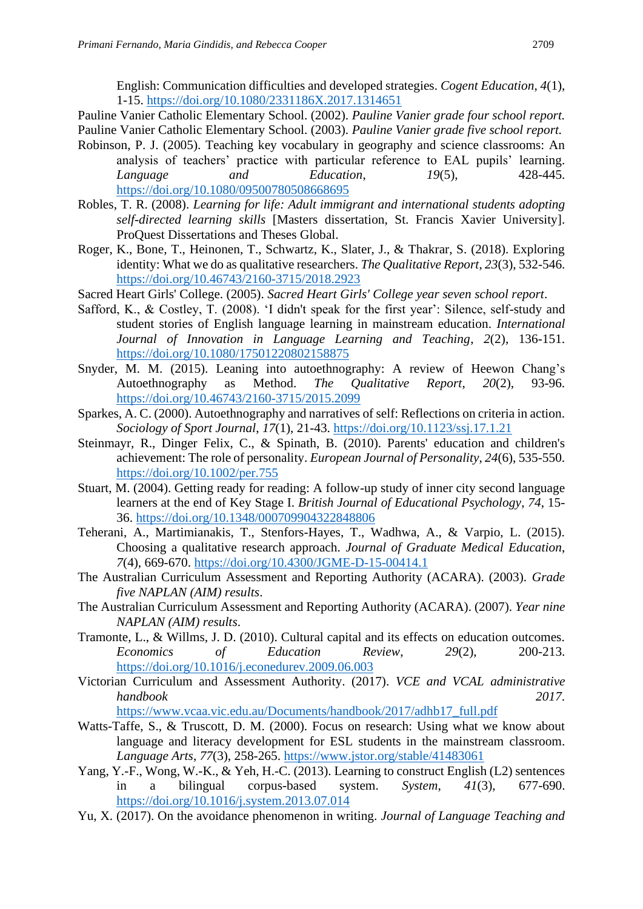English: Communication difficulties and developed strategies. *Cogent Education*, *4*(1), 1-15.<https://doi.org/10.1080/2331186X.2017.1314651>

Pauline Vanier Catholic Elementary School. (2002). *Pauline Vanier grade four school report.*  Pauline Vanier Catholic Elementary School. (2003). *Pauline Vanier grade five school report.*

- Robinson, P. J. (2005). Teaching key vocabulary in geography and science classrooms: An analysis of teachers' practice with particular reference to EAL pupils' learning. *Language and Education*, *19*(5), 428-445. <https://doi.org/10.1080/09500780508668695>
- Robles, T. R. (2008). *Learning for life: Adult immigrant and international students adopting self-directed learning skills* [Masters dissertation, St. Francis Xavier University]. ProQuest Dissertations and Theses Global.
- Roger, K., Bone, T., Heinonen, T., Schwartz, K., Slater, J., & Thakrar, S. (2018). Exploring identity: What we do as qualitative researchers. *The Qualitative Report*, *23*(3), 532-546. <https://doi.org/10.46743/2160-3715/2018.2923>
- Sacred Heart Girls' College. (2005). *Sacred Heart Girls' College year seven school report*.
- Safford, K., & Costley, T. (2008). 'I didn't speak for the first year': Silence, self-study and student stories of English language learning in mainstream education. *International Journal of Innovation in Language Learning and Teaching*, *2*(2), 136-151. <https://doi.org/10.1080/17501220802158875>
- Snyder, M. M. (2015). Leaning into autoethnography: A review of Heewon Chang's Autoethnography as Method. *The Qualitative Report*, *20*(2), 93-96. <https://doi.org/10.46743/2160-3715/2015.2099>
- Sparkes, A. C. (2000). Autoethnography and narratives of self: Reflections on criteria in action. *Sociology of Sport Journal*, *17*(1), 21-43.<https://doi.org/10.1123/ssj.17.1.21>
- Steinmayr, R., Dinger Felix, C., & Spinath, B. (2010). Parents' education and children's achievement: The role of personality. *European Journal of Personality*, *24*(6), 535-550. <https://doi.org/10.1002/per.755>
- Stuart, M. (2004). Getting ready for reading: A follow-up study of inner city second language learners at the end of Key Stage I. *British Journal of Educational Psychology*, *74*, 15- 36.<https://doi.org/10.1348/000709904322848806>
- Teherani, A., Martimianakis, T., Stenfors-Hayes, T., Wadhwa, A., & Varpio, L. (2015). Choosing a qualitative research approach. *Journal of Graduate Medical Education*, *7*(4), 669-670.<https://doi.org/10.4300/JGME-D-15-00414.1>
- The Australian Curriculum Assessment and Reporting Authority (ACARA). (2003). *Grade five NAPLAN (AIM) results*.
- The Australian Curriculum Assessment and Reporting Authority (ACARA). (2007). *Year nine NAPLAN (AIM) results*.
- Tramonte, L., & Willms, J. D. (2010). Cultural capital and its effects on education outcomes. *Economics of Education Review*, *29*(2), 200-213. <https://doi.org/10.1016/j.econedurev.2009.06.003>
- Victorian Curriculum and Assessment Authority. (2017). *VCE and VCAL administrative handbook 2017*.

[https://www.vcaa.vic.edu.au/Documents/handbook/2017/adhb17\\_full.pdf](https://www.vcaa.vic.edu.au/Documents/handbook/2017/adhb17_full.pdf) 

- Watts-Taffe, S., & Truscott, D. M. (2000). Focus on research: Using what we know about language and literacy development for ESL students in the mainstream classroom. *Language Arts*, *77*(3), 258-265.<https://www.jstor.org/stable/41483061>
- Yang, Y.-F., Wong, W.-K., & Yeh, H.-C. (2013). Learning to construct English (L2) sentences in a bilingual corpus-based system. *System*, *41*(3), 677-690. <https://doi.org/10.1016/j.system.2013.07.014>
- Yu, X. (2017). On the avoidance phenomenon in writing. *Journal of Language Teaching and*